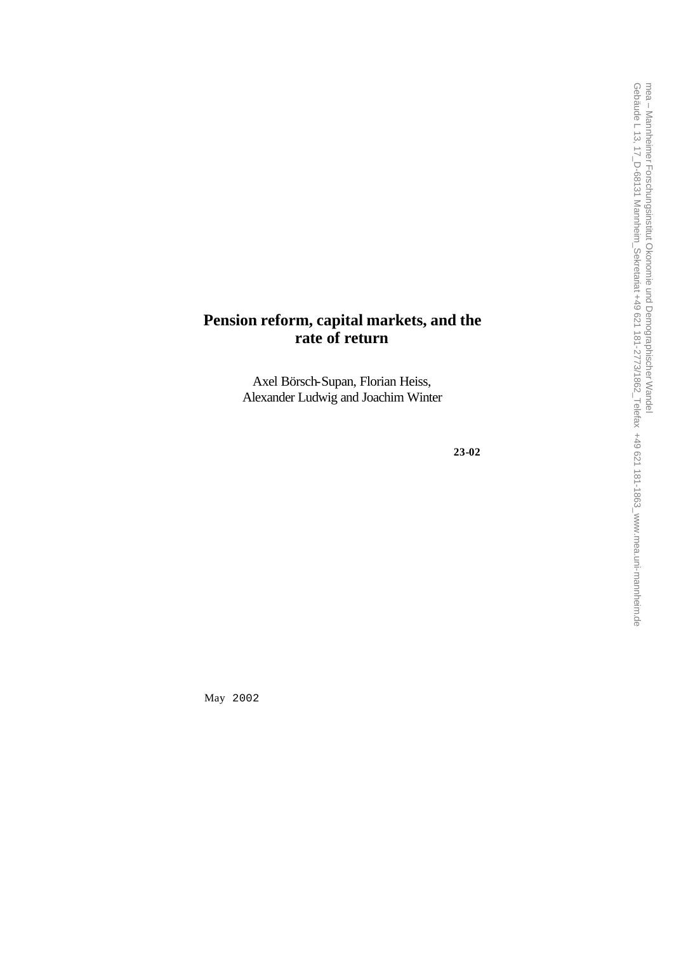# **Pension reform, capital markets, and the rate of return**

Axel Börsch-Supan, Florian Heiss, Alexander Ludwig and Joachim Winter

**23 -02** 

May 2002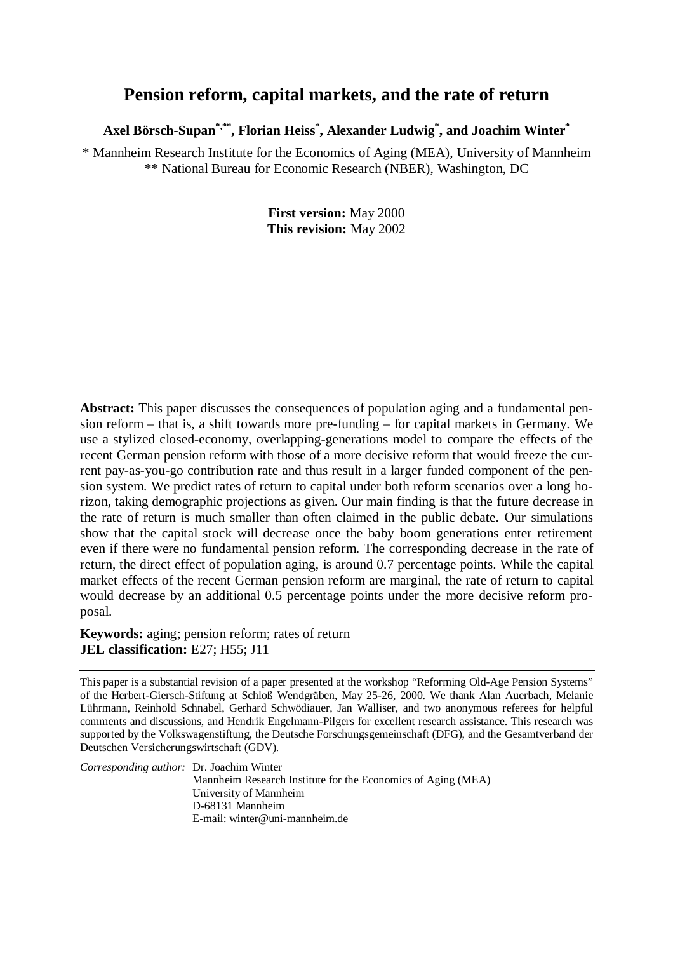# **Pension reform, capital markets, and the rate of return**

**Axel Börsch-Supan\*,\*\*, Florian Heiss\* , Alexander Ludwig\* , and Joachim Winter\***

\* Mannheim Research Institute for the Economics of Aging (MEA), University of Mannheim \*\* National Bureau for Economic Research (NBER), Washington, DC

> **First version:** May 2000 **This revision:** May 2002

**Abstract:** This paper discusses the consequences of population aging and a fundamental pension reform – that is, a shift towards more pre-funding – for capital markets in Germany. We use a stylized closed-economy, overlapping-generations model to compare the effects of the recent German pension reform with those of a more decisive reform that would freeze the current pay-as-you-go contribution rate and thus result in a larger funded component of the pension system. We predict rates of return to capital under both reform scenarios over a long horizon, taking demographic projections as given. Our main finding is that the future decrease in the rate of return is much smaller than often claimed in the public debate. Our simulations show that the capital stock will decrease once the baby boom generations enter retirement even if there were no fundamental pension reform. The corresponding decrease in the rate of return, the direct effect of population aging, is around 0.7 percentage points. While the capital market effects of the recent German pension reform are marginal, the rate of return to capital would decrease by an additional 0.5 percentage points under the more decisive reform proposal.

**Keywords:** aging; pension reform; rates of return **JEL classification:** E27; H55; J11

This paper is a substantial revision of a paper presented at the workshop "Reforming Old-Age Pension Systems" of the Herbert-Giersch-Stiftung at Schloß Wendgräben, May 25-26, 2000. We thank Alan Auerbach, Melanie Lührmann, Reinhold Schnabel, Gerhard Schwödiauer, Jan Walliser, and two anonymous referees for helpful comments and discussions, and Hendrik Engelmann-Pilgers for excellent research assistance. This research was supported by the Volkswagenstiftung, the Deutsche Forschungsgemeinschaft (DFG), and the Gesamtverband der Deutschen Versicherungswirtschaft (GDV).

*Corresponding author:* Dr. Joachim Winter

Mannheim Research Institute for the Economics of Aging (MEA) University of Mannheim D-68131 Mannheim E-mail: winter@uni-mannheim.de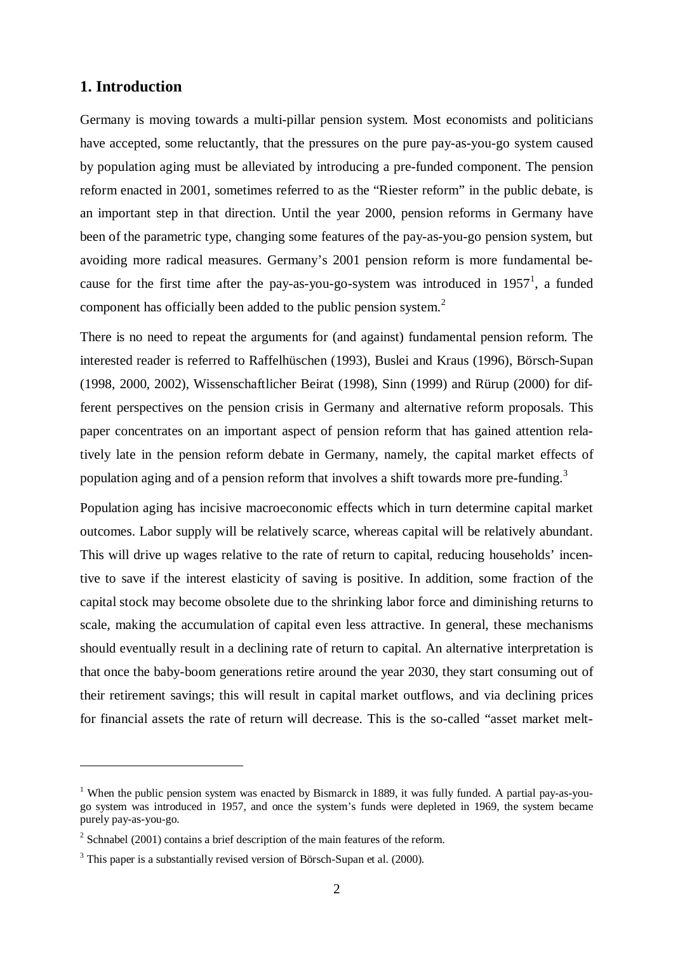# **1. Introduction**

 $\overline{a}$ 

Germany is moving towards a multi-pillar pension system. Most economists and politicians have accepted, some reluctantly, that the pressures on the pure pay-as-you-go system caused by population aging must be alleviated by introducing a pre-funded component. The pension reform enacted in 2001, sometimes referred to as the "Riester reform" in the public debate, is an important step in that direction. Until the year 2000, pension reforms in Germany have been of the parametric type, changing some features of the pay-as-you-go pension system, but avoiding more radical measures. Germany's 2001 pension reform is more fundamental because for the first time after the pay-as-you-go-system was introduced in  $1957<sup>1</sup>$ , a funded component has officially been added to the public pension system.<sup>2</sup>

There is no need to repeat the arguments for (and against) fundamental pension reform. The interested reader is referred to Raffelhüschen (1993), Buslei and Kraus (1996), Börsch-Supan (1998, 2000, 2002), Wissenschaftlicher Beirat (1998), Sinn (1999) and Rürup (2000) for different perspectives on the pension crisis in Germany and alternative reform proposals. This paper concentrates on an important aspect of pension reform that has gained attention relatively late in the pension reform debate in Germany, namely, the capital market effects of population aging and of a pension reform that involves a shift towards more pre-funding.<sup>3</sup>

Population aging has incisive macroeconomic effects which in turn determine capital market outcomes. Labor supply will be relatively scarce, whereas capital will be relatively abundant. This will drive up wages relative to the rate of return to capital, reducing households' incentive to save if the interest elasticity of saving is positive. In addition, some fraction of the capital stock may become obsolete due to the shrinking labor force and diminishing returns to scale, making the accumulation of capital even less attractive. In general, these mechanisms should eventually result in a declining rate of return to capital. An alternative interpretation is that once the baby-boom generations retire around the year 2030, they start consuming out of their retirement savings; this will result in capital market outflows, and via declining prices for financial assets the rate of return will decrease. This is the so-called "asset market melt-

<sup>&</sup>lt;sup>1</sup> When the public pension system was enacted by Bismarck in 1889, it was fully funded. A partial pay-as-yougo system was introduced in 1957, and once the system's funds were depleted in 1969, the system became purely pay-as-you-go.

 $2^2$  Schnabel (2001) contains a brief description of the main features of the reform.

 $3$  This paper is a substantially revised version of Börsch-Supan et al. (2000).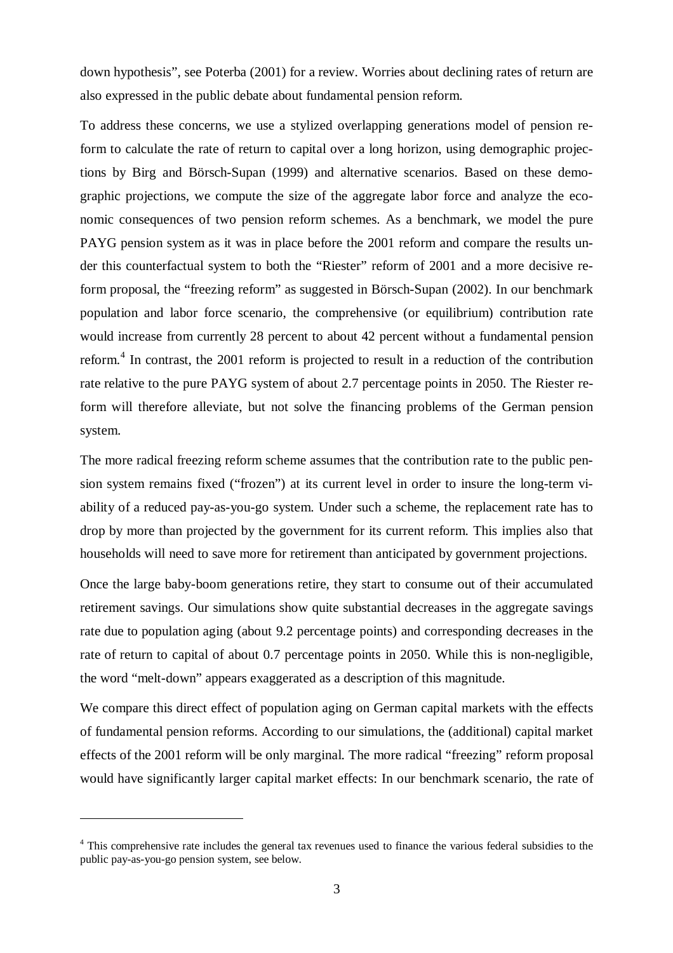down hypothesis", see Poterba (2001) for a review. Worries about declining rates of return are also expressed in the public debate about fundamental pension reform.

To address these concerns, we use a stylized overlapping generations model of pension reform to calculate the rate of return to capital over a long horizon, using demographic projections by Birg and Börsch-Supan (1999) and alternative scenarios. Based on these demographic projections, we compute the size of the aggregate labor force and analyze the economic consequences of two pension reform schemes. As a benchmark, we model the pure PAYG pension system as it was in place before the 2001 reform and compare the results under this counterfactual system to both the "Riester" reform of 2001 and a more decisive reform proposal, the "freezing reform" as suggested in Börsch-Supan (2002). In our benchmark population and labor force scenario, the comprehensive (or equilibrium) contribution rate would increase from currently 28 percent to about 42 percent without a fundamental pension reform.<sup>4</sup> In contrast, the 2001 reform is projected to result in a reduction of the contribution rate relative to the pure PAYG system of about 2.7 percentage points in 2050. The Riester reform will therefore alleviate, but not solve the financing problems of the German pension system.

The more radical freezing reform scheme assumes that the contribution rate to the public pension system remains fixed ("frozen") at its current level in order to insure the long-term viability of a reduced pay-as-you-go system. Under such a scheme, the replacement rate has to drop by more than projected by the government for its current reform. This implies also that households will need to save more for retirement than anticipated by government projections.

Once the large baby-boom generations retire, they start to consume out of their accumulated retirement savings. Our simulations show quite substantial decreases in the aggregate savings rate due to population aging (about 9.2 percentage points) and corresponding decreases in the rate of return to capital of about 0.7 percentage points in 2050. While this is non-negligible, the word "melt-down" appears exaggerated as a description of this magnitude.

We compare this direct effect of population aging on German capital markets with the effects of fundamental pension reforms. According to our simulations, the (additional) capital market effects of the 2001 reform will be only marginal. The more radical "freezing" reform proposal would have significantly larger capital market effects: In our benchmark scenario, the rate of

 $\overline{a}$ 

<sup>&</sup>lt;sup>4</sup> This comprehensive rate includes the general tax revenues used to finance the various federal subsidies to the public pay-as-you-go pension system, see below.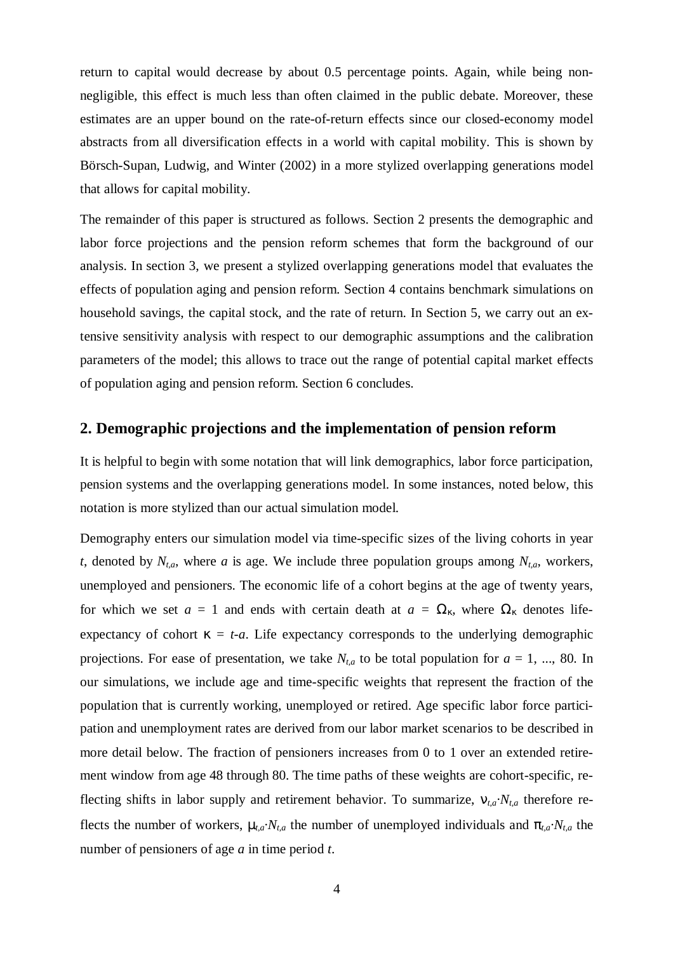return to capital would decrease by about 0.5 percentage points. Again, while being nonnegligible, this effect is much less than often claimed in the public debate. Moreover, these estimates are an upper bound on the rate-of-return effects since our closed-economy model abstracts from all diversification effects in a world with capital mobility. This is shown by Börsch-Supan, Ludwig, and Winter (2002) in a more stylized overlapping generations model that allows for capital mobility.

The remainder of this paper is structured as follows. Section 2 presents the demographic and labor force projections and the pension reform schemes that form the background of our analysis. In section 3, we present a stylized overlapping generations model that evaluates the effects of population aging and pension reform. Section 4 contains benchmark simulations on household savings, the capital stock, and the rate of return. In Section 5, we carry out an extensive sensitivity analysis with respect to our demographic assumptions and the calibration parameters of the model; this allows to trace out the range of potential capital market effects of population aging and pension reform. Section 6 concludes.

# **2. Demographic projections and the implementation of pension reform**

It is helpful to begin with some notation that will link demographics, labor force participation, pension systems and the overlapping generations model. In some instances, noted below, this notation is more stylized than our actual simulation model.

Demography enters our simulation model via time-specific sizes of the living cohorts in year *t*, denoted by  $N_{t,a}$ , where *a* is age. We include three population groups among  $N_{t,a}$ , workers, unemployed and pensioners. The economic life of a cohort begins at the age of twenty years, for which we set  $a = 1$  and ends with certain death at  $a = \Omega_{\kappa}$ , where  $\Omega_{\kappa}$  denotes lifeexpectancy of cohort  $\kappa = t-a$ . Life expectancy corresponds to the underlying demographic projections. For ease of presentation, we take  $N_{t,a}$  to be total population for  $a = 1, ..., 80$ . In our simulations, we include age and time-specific weights that represent the fraction of the population that is currently working, unemployed or retired. Age specific labor force participation and unemployment rates are derived from our labor market scenarios to be described in more detail below. The fraction of pensioners increases from 0 to 1 over an extended retirement window from age 48 through 80. The time paths of these weights are cohort-specific, reflecting shifts in labor supply and retirement behavior. To summarize,  $V_{t,a}N_{t,a}$  therefore reflects the number of workers,  $\mu_{t,a}N_{t,a}$  the number of unemployed individuals and  $\pi_{t,a}N_{t,a}$  the number of pensioners of age *a* in time period *t*.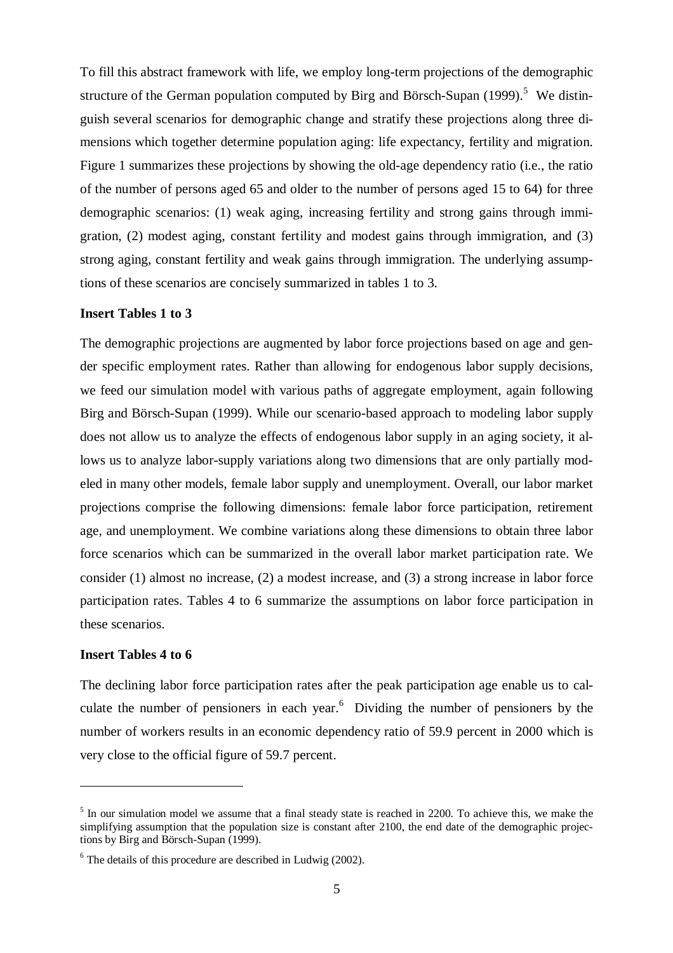To fill this abstract framework with life, we employ long-term projections of the demographic structure of the German population computed by Birg and Börsch-Supan  $(1999)$ .<sup>5</sup> We distinguish several scenarios for demographic change and stratify these projections along three dimensions which together determine population aging: life expectancy, fertility and migration. Figure 1 summarizes these projections by showing the old-age dependency ratio (i.e., the ratio of the number of persons aged 65 and older to the number of persons aged 15 to 64) for three demographic scenarios: (1) weak aging, increasing fertility and strong gains through immigration, (2) modest aging, constant fertility and modest gains through immigration, and (3) strong aging, constant fertility and weak gains through immigration. The underlying assumptions of these scenarios are concisely summarized in tables 1 to 3.

#### **Insert Tables 1 to 3**

The demographic projections are augmented by labor force projections based on age and gender specific employment rates. Rather than allowing for endogenous labor supply decisions, we feed our simulation model with various paths of aggregate employment, again following Birg and Börsch-Supan (1999). While our scenario-based approach to modeling labor supply does not allow us to analyze the effects of endogenous labor supply in an aging society, it allows us to analyze labor-supply variations along two dimensions that are only partially modeled in many other models, female labor supply and unemployment. Overall, our labor market projections comprise the following dimensions: female labor force participation, retirement age, and unemployment. We combine variations along these dimensions to obtain three labor force scenarios which can be summarized in the overall labor market participation rate. We consider (1) almost no increase, (2) a modest increase, and (3) a strong increase in labor force participation rates. Tables 4 to 6 summarize the assumptions on labor force participation in these scenarios.

#### **Insert Tables 4 to 6**

 $\overline{a}$ 

The declining labor force participation rates after the peak participation age enable us to calculate the number of pensioners in each year.  $6$  Dividing the number of pensioners by the number of workers results in an economic dependency ratio of 59.9 percent in 2000 which is very close to the official figure of 59.7 percent.

 $<sup>5</sup>$  In our simulation model we assume that a final steady state is reached in 2200. To achieve this, we make the</sup> simplifying assumption that the population size is constant after 2100, the end date of the demographic projections by Birg and Börsch-Supan (1999).

<sup>&</sup>lt;sup>6</sup> The details of this procedure are described in Ludwig (2002).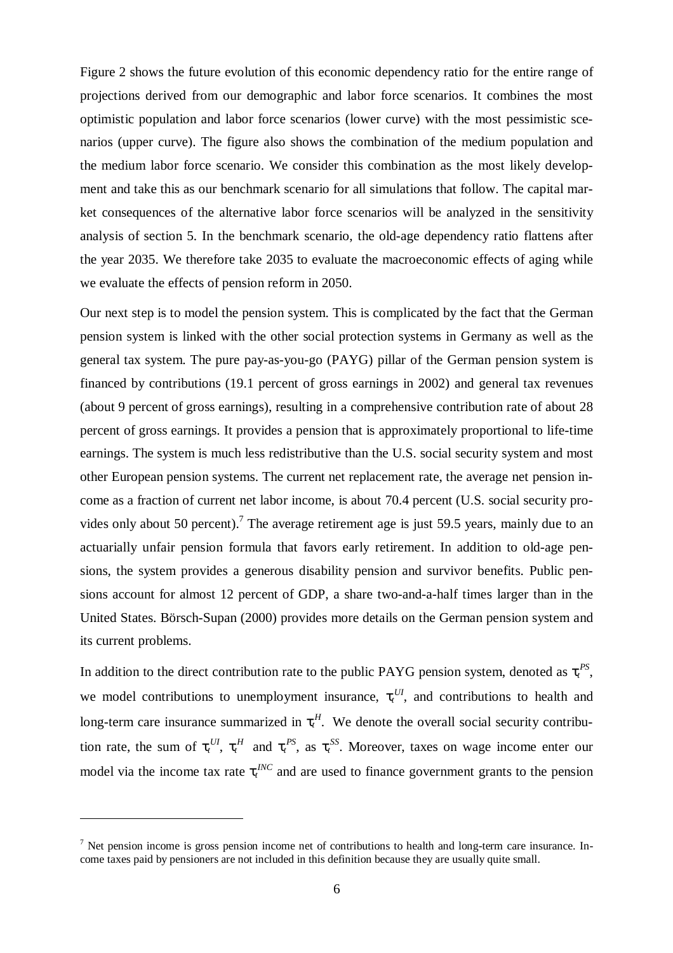Figure 2 shows the future evolution of this economic dependency ratio for the entire range of projections derived from our demographic and labor force scenarios. It combines the most optimistic population and labor force scenarios (lower curve) with the most pessimistic scenarios (upper curve). The figure also shows the combination of the medium population and the medium labor force scenario. We consider this combination as the most likely development and take this as our benchmark scenario for all simulations that follow. The capital market consequences of the alternative labor force scenarios will be analyzed in the sensitivity analysis of section 5. In the benchmark scenario, the old-age dependency ratio flattens after the year 2035. We therefore take 2035 to evaluate the macroeconomic effects of aging while we evaluate the effects of pension reform in 2050.

Our next step is to model the pension system. This is complicated by the fact that the German pension system is linked with the other social protection systems in Germany as well as the general tax system. The pure pay-as-you-go (PAYG) pillar of the German pension system is financed by contributions (19.1 percent of gross earnings in 2002) and general tax revenues (about 9 percent of gross earnings), resulting in a comprehensive contribution rate of about 28 percent of gross earnings. It provides a pension that is approximately proportional to life-time earnings. The system is much less redistributive than the U.S. social security system and most other European pension systems. The current net replacement rate, the average net pension income as a fraction of current net labor income, is about 70.4 percent (U.S. social security provides only about 50 percent).<sup>7</sup> The average retirement age is just 59.5 years, mainly due to an actuarially unfair pension formula that favors early retirement. In addition to old-age pensions, the system provides a generous disability pension and survivor benefits. Public pensions account for almost 12 percent of GDP, a share two-and-a-half times larger than in the United States. Börsch-Supan (2000) provides more details on the German pension system and its current problems.

In addition to the direct contribution rate to the public PAYG pension system, denoted as  $\tau_t^{PS}$ , we model contributions to unemployment insurance,  $\tau_t^{U}$ , and contributions to health and long-term care insurance summarized in  $\tau_t^H$ . We denote the overall social security contribution rate, the sum of  $\tau_t^{UI}$ ,  $\tau_t^H$  and  $\tau_t^{PS}$ , as  $\tau_t^{SS}$ . Moreover, taxes on wage income enter our model via the income tax rate  $\tau_t^{INC}$  and are used to finance government grants to the pension

 $\overline{a}$ 

 $<sup>7</sup>$  Net pension income is gross pension income net of contributions to health and long-term care insurance. In-</sup> come taxes paid by pensioners are not included in this definition because they are usually quite small.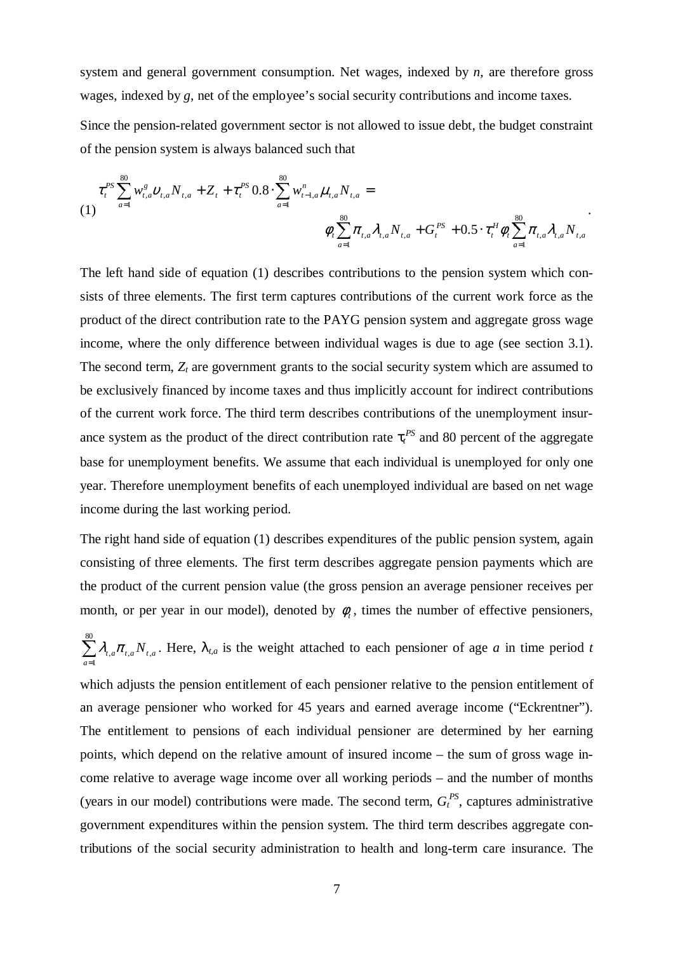system and general government consumption. Net wages, indexed by *n*, are therefore gross wages, indexed by *g*, net of the employee's social security contributions and income taxes.

Since the pension-related government sector is not allowed to issue debt, the budget constraint of the pension system is always balanced such that

$$
\tau_t^{PS} \sum_{a=1}^{80} w_{t,a}^s v_{t,a} N_{t,a} + Z_t + \tau_t^{PS} 0.8 \cdot \sum_{a=1}^{80} w_{t-1,a}^n \mu_{t,a} N_{t,a} =
$$
\n
$$
\phi_t \sum_{a=1}^{80} \pi_{t,a} \lambda_{t,a} N_{t,a} + G_t^{PS} + 0.5 \cdot \tau_t^H \phi_t \sum_{a=1}^{80} \pi_{t,a} \lambda_{t,a} N_{t,a}
$$

The left hand side of equation (1) describes contributions to the pension system which consists of three elements. The first term captures contributions of the current work force as the product of the direct contribution rate to the PAYG pension system and aggregate gross wage income, where the only difference between individual wages is due to age (see section 3.1). The second term,  $Z_t$  are government grants to the social security system which are assumed to be exclusively financed by income taxes and thus implicitly account for indirect contributions of the current work force. The third term describes contributions of the unemployment insurance system as the product of the direct contribution rate  $\tau_t^{PS}$  and 80 percent of the aggregate base for unemployment benefits. We assume that each individual is unemployed for only one year. Therefore unemployment benefits of each unemployed individual are based on net wage income during the last working period.

The right hand side of equation (1) describes expenditures of the public pension system, again consisting of three elements. The first term describes aggregate pension payments which are the product of the current pension value (the gross pension an average pensioner receives per month, or per year in our model), denoted by  $\phi$ , times the number of effective pensioners,

 $t$ , $a$ <sup> $I$ </sup> $v$ <sub> $t$ </sub>, $a$ *a*  $\pi_{t,a} \pi_{t,a} N_{t,a}$ 80  $\sum_{a=1} \lambda_{t,a} \pi_{t,a} N_{t,a}$ . Here,  $\lambda_{t,a}$  is the weight attached to each pensioner of age *a* in time period *t* which adjusts the pension entitlement of each pensioner relative to the pension entitlement of an average pensioner who worked for 45 years and earned average income ("Eckrentner"). The entitlement to pensions of each individual pensioner are determined by her earning points, which depend on the relative amount of insured income – the sum of gross wage income relative to average wage income over all working periods – and the number of months (years in our model) contributions were made. The second term,  $G_t^{PS}$ , captures administrative government expenditures within the pension system. The third term describes aggregate contributions of the social security administration to health and long-term care insurance. The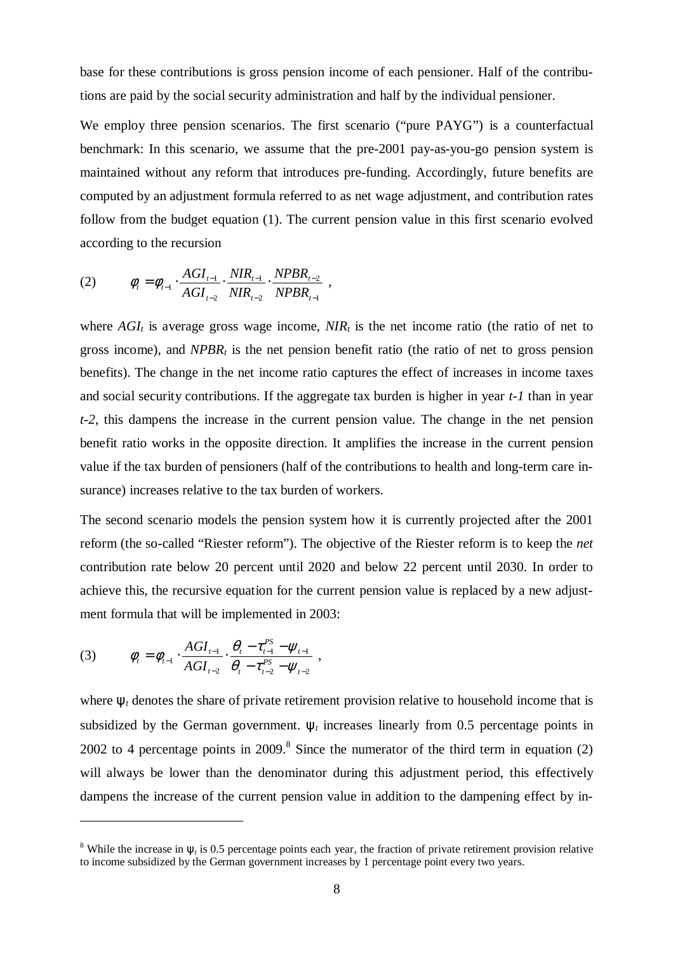base for these contributions is gross pension income of each pensioner. Half of the contributions are paid by the social security administration and half by the individual pensioner.

We employ three pension scenarios. The first scenario ("pure PAYG") is a counterfactual benchmark: In this scenario, we assume that the pre-2001 pay-as-you-go pension system is maintained without any reform that introduces pre-funding. Accordingly, future benefits are computed by an adjustment formula referred to as net wage adjustment, and contribution rates follow from the budget equation (1). The current pension value in this first scenario evolved according to the recursion

(2) 
$$
\phi_t = \phi_{t-1} \cdot \frac{AGI_{t-1}}{AGI_{t-2}} \cdot \frac{NIR_{t-1}}{NIR_{t-2}} \cdot \frac{NPBR_{t-2}}{NPBR_{t-1}} ,
$$

where  $AGI_t$  is average gross wage income,  $NIR_t$  is the net income ratio (the ratio of net to gross income), and  $NPR<sub>t</sub>$  is the net pension benefit ratio (the ratio of net to gross pension benefits). The change in the net income ratio captures the effect of increases in income taxes and social security contributions. If the aggregate tax burden is higher in year *t-1* than in year *t-2*, this dampens the increase in the current pension value. The change in the net pension benefit ratio works in the opposite direction. It amplifies the increase in the current pension value if the tax burden of pensioners (half of the contributions to health and long-term care insurance) increases relative to the tax burden of workers.

The second scenario models the pension system how it is currently projected after the 2001 reform (the so-called "Riester reform"). The objective of the Riester reform is to keep the *net* contribution rate below 20 percent until 2020 and below 22 percent until 2030. In order to achieve this, the recursive equation for the current pension value is replaced by a new adjustment formula that will be implemented in 2003:

(3) 
$$
\phi_t = \phi_{t-1} \cdot \frac{AGI_{t-1}}{AGI_{t-2}} \cdot \frac{\theta_t - \tau_{t-1}^{PS} - \psi_{t-1}}{\theta_t - \tau_{t-2}^{PS} - \psi_{t-2}} ,
$$

 $\overline{a}$ 

where  $\Psi_t$  denotes the share of private retirement provision relative to household income that is subsidized by the German government.  $\Psi_t$  increases linearly from 0.5 percentage points in 2002 to 4 percentage points in 2009.<sup>8</sup> Since the numerator of the third term in equation  $(2)$ will always be lower than the denominator during this adjustment period, this effectively dampens the increase of the current pension value in addition to the dampening effect by in-

<sup>&</sup>lt;sup>8</sup> While the increase in  $\psi_t$  is 0.5 percentage points each year, the fraction of private retirement provision relative to income subsidized by the German government increases by 1 percentage point every two years.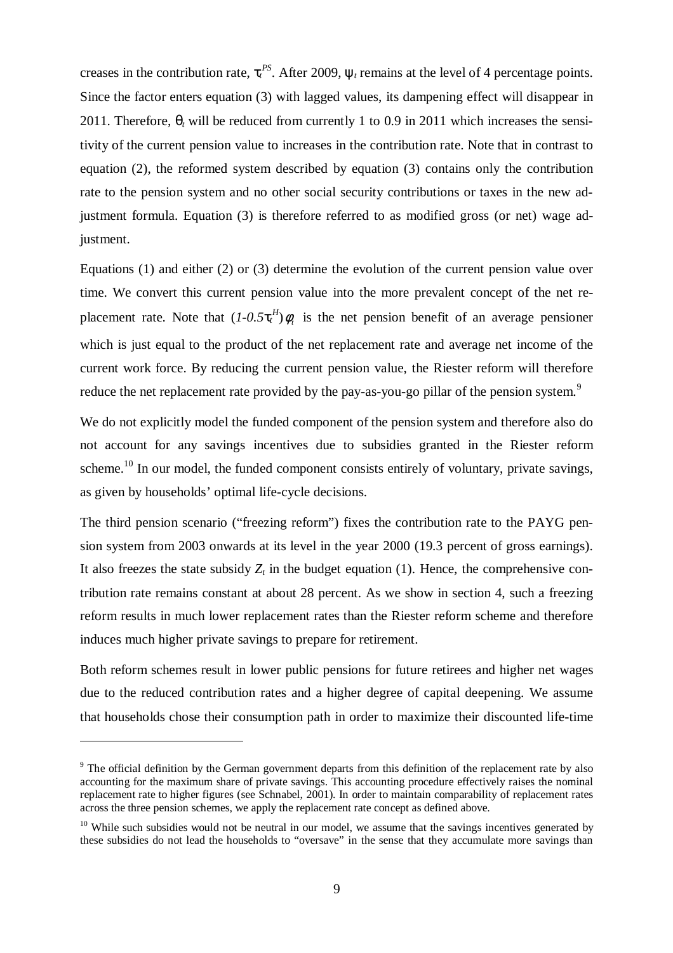creases in the contribution rate,  $\tau_t^{PS}$ . After 2009,  $\psi_t$  remains at the level of 4 percentage points. Since the factor enters equation (3) with lagged values, its dampening effect will disappear in 2011. Therefore, θ*t* will be reduced from currently 1 to 0.9 in 2011 which increases the sensitivity of the current pension value to increases in the contribution rate. Note that in contrast to equation (2), the reformed system described by equation (3) contains only the contribution rate to the pension system and no other social security contributions or taxes in the new adjustment formula. Equation (3) is therefore referred to as modified gross (or net) wage adjustment.

Equations (1) and either (2) or (3) determine the evolution of the current pension value over time. We convert this current pension value into the more prevalent concept of the net replacement rate. Note that  $(I - 0.5\tau_t^H)\phi_t$  is the net pension benefit of an average pensioner which is just equal to the product of the net replacement rate and average net income of the current work force. By reducing the current pension value, the Riester reform will therefore reduce the net replacement rate provided by the pay-as-you-go pillar of the pension system.<sup>9</sup>

We do not explicitly model the funded component of the pension system and therefore also do not account for any savings incentives due to subsidies granted in the Riester reform scheme.<sup>10</sup> In our model, the funded component consists entirely of voluntary, private savings, as given by households' optimal life-cycle decisions.

The third pension scenario ("freezing reform") fixes the contribution rate to the PAYG pension system from 2003 onwards at its level in the year 2000 (19.3 percent of gross earnings). It also freezes the state subsidy  $Z_t$  in the budget equation (1). Hence, the comprehensive contribution rate remains constant at about 28 percent. As we show in section 4, such a freezing reform results in much lower replacement rates than the Riester reform scheme and therefore induces much higher private savings to prepare for retirement.

Both reform schemes result in lower public pensions for future retirees and higher net wages due to the reduced contribution rates and a higher degree of capital deepening. We assume that households chose their consumption path in order to maximize their discounted life-time

 $\overline{a}$ 

<sup>&</sup>lt;sup>9</sup> The official definition by the German government departs from this definition of the replacement rate by also accounting for the maximum share of private savings. This accounting procedure effectively raises the nominal replacement rate to higher figures (see Schnabel, 2001). In order to maintain comparability of replacement rates across the three pension schemes, we apply the replacement rate concept as defined above.

 $10$  While such subsidies would not be neutral in our model, we assume that the savings incentives generated by these subsidies do not lead the households to "oversave" in the sense that they accumulate more savings than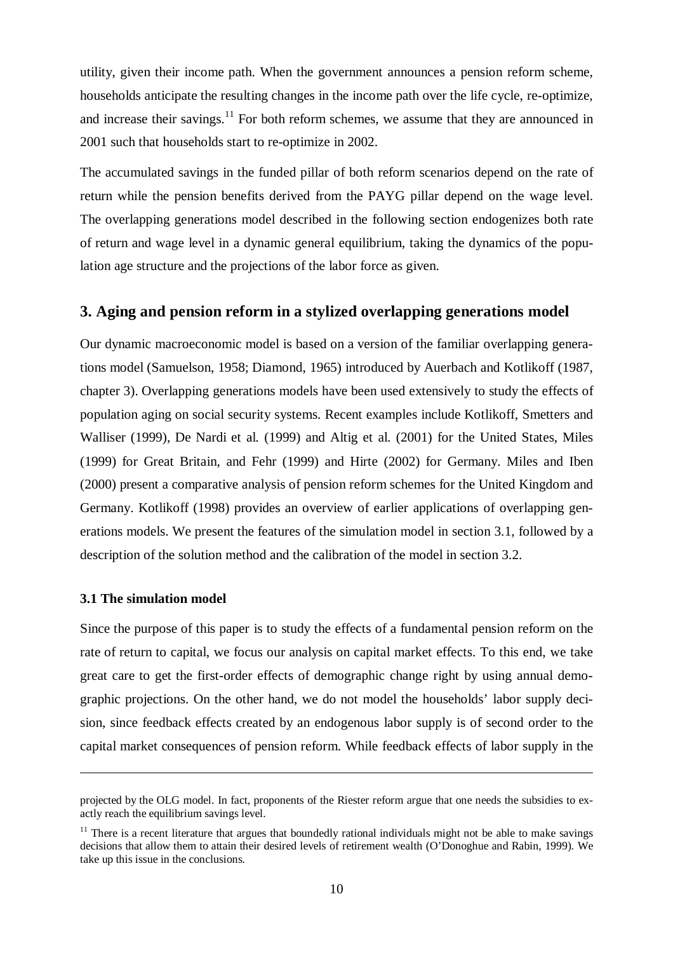utility, given their income path. When the government announces a pension reform scheme, households anticipate the resulting changes in the income path over the life cycle, re-optimize, and increase their savings.<sup>11</sup> For both reform schemes, we assume that they are announced in 2001 such that households start to re-optimize in 2002.

The accumulated savings in the funded pillar of both reform scenarios depend on the rate of return while the pension benefits derived from the PAYG pillar depend on the wage level. The overlapping generations model described in the following section endogenizes both rate of return and wage level in a dynamic general equilibrium, taking the dynamics of the population age structure and the projections of the labor force as given.

#### **3. Aging and pension reform in a stylized overlapping generations model**

Our dynamic macroeconomic model is based on a version of the familiar overlapping generations model (Samuelson, 1958; Diamond, 1965) introduced by Auerbach and Kotlikoff (1987, chapter 3). Overlapping generations models have been used extensively to study the effects of population aging on social security systems. Recent examples include Kotlikoff, Smetters and Walliser (1999), De Nardi et al*.* (1999) and Altig et al. (2001) for the United States, Miles (1999) for Great Britain, and Fehr (1999) and Hirte (2002) for Germany. Miles and Iben (2000) present a comparative analysis of pension reform schemes for the United Kingdom and Germany. Kotlikoff (1998) provides an overview of earlier applications of overlapping generations models. We present the features of the simulation model in section 3.1, followed by a description of the solution method and the calibration of the model in section 3.2.

#### **3.1 The simulation model**

1

Since the purpose of this paper is to study the effects of a fundamental pension reform on the rate of return to capital, we focus our analysis on capital market effects. To this end, we take great care to get the first-order effects of demographic change right by using annual demographic projections. On the other hand, we do not model the households' labor supply decision, since feedback effects created by an endogenous labor supply is of second order to the capital market consequences of pension reform. While feedback effects of labor supply in the

projected by the OLG model. In fact, proponents of the Riester reform argue that one needs the subsidies to exactly reach the equilibrium savings level.

 $11$  There is a recent literature that argues that boundedly rational individuals might not be able to make savings decisions that allow them to attain their desired levels of retirement wealth (O'Donoghue and Rabin, 1999). We take up this issue in the conclusions.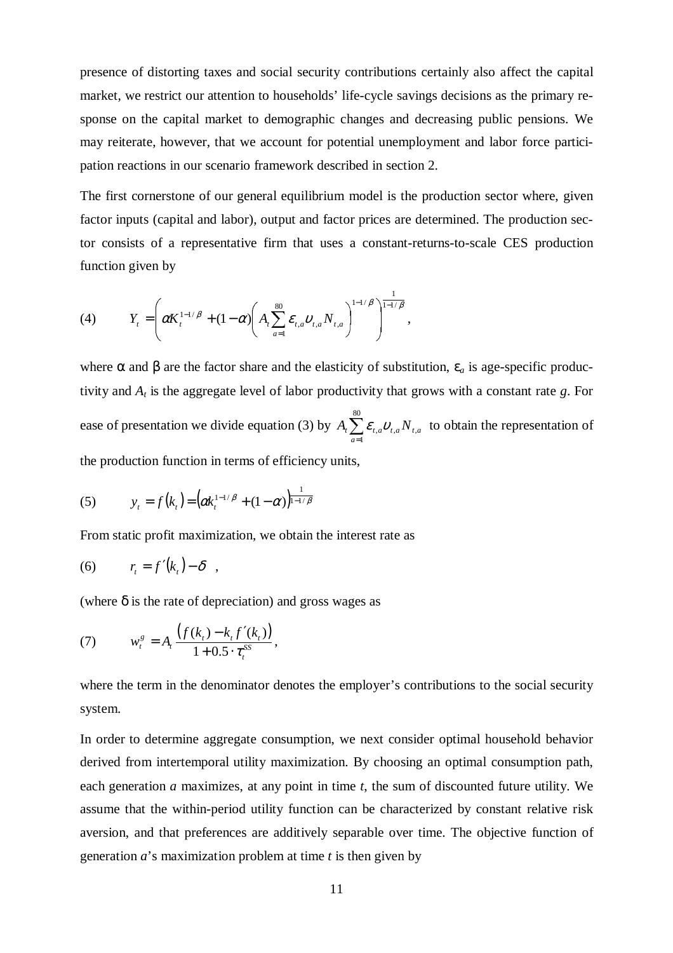presence of distorting taxes and social security contributions certainly also affect the capital market, we restrict our attention to households' life-cycle savings decisions as the primary response on the capital market to demographic changes and decreasing public pensions. We may reiterate, however, that we account for potential unemployment and labor force participation reactions in our scenario framework described in section 2.

The first cornerstone of our general equilibrium model is the production sector where, given factor inputs (capital and labor), output and factor prices are determined. The production sector consists of a representative firm that uses a constant-returns-to-scale CES production function given by

(4) 
$$
Y_{t} = \left(\alpha K_{t}^{1-1/\beta} + (1-\alpha)\left(A_{t}\sum_{a=1}^{80} \mathcal{E}_{t,a} v_{t,a} N_{t,a}\right)^{1-1/\beta}\right)^{\frac{1}{1-1/\beta}},
$$

where  $\alpha$  and  $\beta$  are the factor share and the elasticity of substitution,  $\varepsilon_a$  is age-specific productivity and *At* is the aggregate level of labor productivity that grows with a constant rate *g*. For ease of presentation we divide equation (3) by  $A_t \sum_{a=1}^{\infty}$ 80 1  $_{a}$  $U_{t,a}$ *<sup>1</sup>* $_{t}$ , *a*  $A_t \sum \varepsilon_{t,a} v_{t,a} N_{t,a}$  to obtain the representation of

the production function in terms of efficiency units,

(5) 
$$
y_t = f(k_t) = (\alpha k_t^{1-1/\beta} + (1-\alpha))^{1/2}
$$

From static profit maximization, we obtain the interest rate as

$$
(6) \t\t r_t = f'(k_t) - \delta \t ,
$$

(where  $\delta$  is the rate of depreciation) and gross wages as

(7) 
$$
w_t^s = A_t \frac{f(k_t) - k_t f'(k_t)}{1 + 0.5 \cdot \tau_t^{ss}},
$$

where the term in the denominator denotes the employer's contributions to the social security system.

In order to determine aggregate consumption, we next consider optimal household behavior derived from intertemporal utility maximization. By choosing an optimal consumption path, each generation *a* maximizes, at any point in time *t*, the sum of discounted future utility. We assume that the within-period utility function can be characterized by constant relative risk aversion, and that preferences are additively separable over time. The objective function of generation *a*'s maximization problem at time *t* is then given by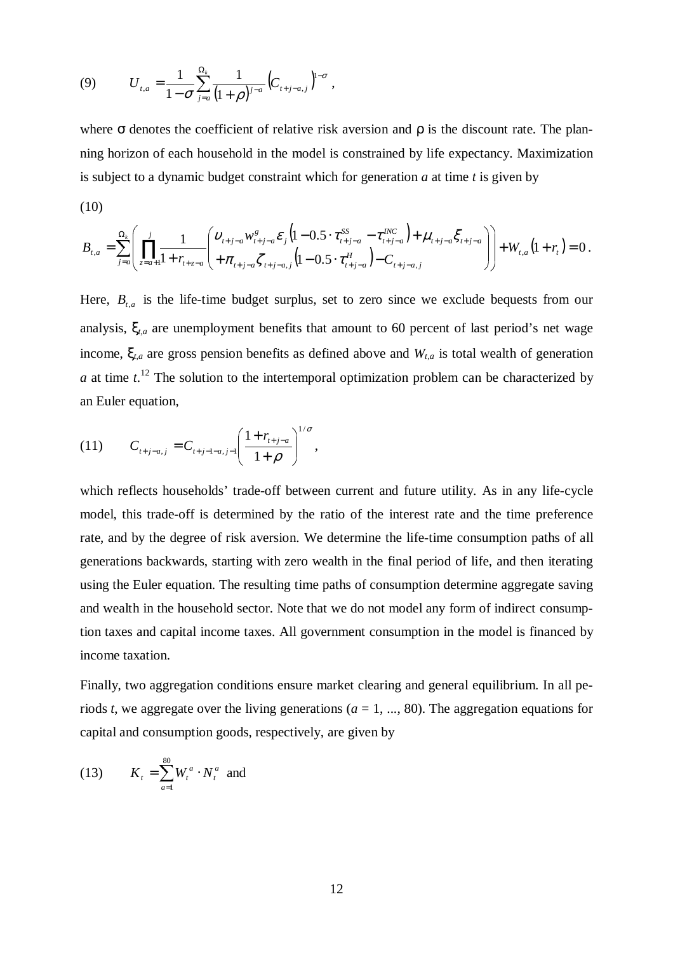(9) 
$$
U_{t,a} = \frac{1}{1-\sigma} \sum_{j=a}^{\Omega_k} \frac{1}{(1+\rho)^{j-a}} \big( C_{t+j-a,j} \big)^{1-\sigma} ,
$$

where  $\sigma$  denotes the coefficient of relative risk aversion and  $\rho$  is the discount rate. The planning horizon of each household in the model is constrained by life expectancy. Maximization is subject to a dynamic budget constraint which for generation *a* at time *t* is given by

(10)

$$
B_{t,a} = \sum_{j=a}^{\Omega_k} \left( \prod_{z=a+1}^{j} \frac{1}{1+r_{t+z-a}} \left( \frac{\nu_{t+j-a} \nu_{t+j-a}^g \mathcal{E}_j \left(1-0.5 \cdot \tau_{t+j-a}^{SS} - \tau_{t+j-a}^{INC} \right) + \mu_{t+j-a} \mathcal{E}_{t+j-a}}{+ \pi_{t+j-a} \mathcal{E}_{t+j-a,j}} \right) \right) + W_{t,a} \left(1+r_t\right) = 0.
$$

Here,  $B_{t,a}$  is the life-time budget surplus, set to zero since we exclude bequests from our analysis, ξ*t,a* are unemployment benefits that amount to 60 percent of last period's net wage income,  $\xi_{t,a}$  are gross pension benefits as defined above and  $W_{t,a}$  is total wealth of generation *a* at time  $t^{12}$ . The solution to the intertemporal optimization problem can be characterized by an Euler equation,

(11) 
$$
C_{t+j-a,j} = C_{t+j-1-a,j-1} \left( \frac{1+r_{t+j-a}}{1+\rho} \right)^{1/\sigma},
$$

which reflects households' trade-off between current and future utility. As in any life-cycle model, this trade-off is determined by the ratio of the interest rate and the time preference rate, and by the degree of risk aversion. We determine the life-time consumption paths of all generations backwards, starting with zero wealth in the final period of life, and then iterating using the Euler equation. The resulting time paths of consumption determine aggregate saving and wealth in the household sector. Note that we do not model any form of indirect consumption taxes and capital income taxes. All government consumption in the model is financed by income taxation.

Finally, two aggregation conditions ensure market clearing and general equilibrium. In all periods *t*, we aggregate over the living generations (*a* = 1, ..., 80). The aggregation equations for capital and consumption goods, respectively, are given by

(13) 
$$
K_t = \sum_{a=1}^{80} W_t^a \cdot N_t^a
$$
 and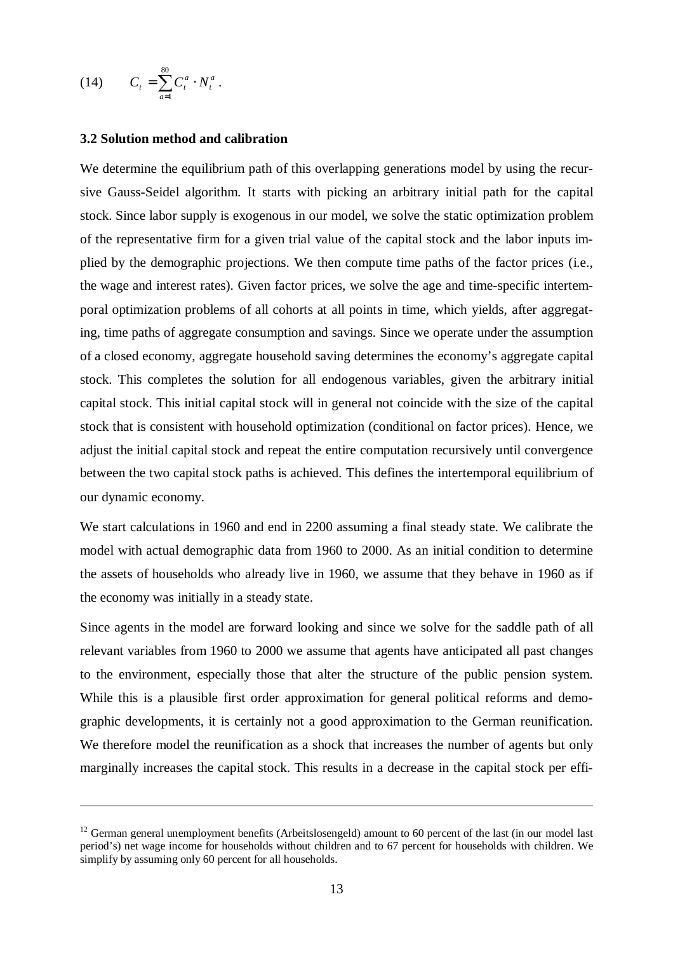(14) 
$$
C_t = \sum_{a=1}^{80} C_t^a \cdot N_t^a.
$$

<u>.</u>

#### **3.2 Solution method and calibration**

We determine the equilibrium path of this overlapping generations model by using the recursive Gauss-Seidel algorithm. It starts with picking an arbitrary initial path for the capital stock. Since labor supply is exogenous in our model, we solve the static optimization problem of the representative firm for a given trial value of the capital stock and the labor inputs implied by the demographic projections. We then compute time paths of the factor prices (i.e., the wage and interest rates). Given factor prices, we solve the age and time-specific intertemporal optimization problems of all cohorts at all points in time, which yields, after aggregating, time paths of aggregate consumption and savings. Since we operate under the assumption of a closed economy, aggregate household saving determines the economy's aggregate capital stock. This completes the solution for all endogenous variables, given the arbitrary initial capital stock. This initial capital stock will in general not coincide with the size of the capital stock that is consistent with household optimization (conditional on factor prices). Hence, we adjust the initial capital stock and repeat the entire computation recursively until convergence between the two capital stock paths is achieved. This defines the intertemporal equilibrium of our dynamic economy.

We start calculations in 1960 and end in 2200 assuming a final steady state. We calibrate the model with actual demographic data from 1960 to 2000. As an initial condition to determine the assets of households who already live in 1960, we assume that they behave in 1960 as if the economy was initially in a steady state.

Since agents in the model are forward looking and since we solve for the saddle path of all relevant variables from 1960 to 2000 we assume that agents have anticipated all past changes to the environment, especially those that alter the structure of the public pension system. While this is a plausible first order approximation for general political reforms and demographic developments, it is certainly not a good approximation to the German reunification. We therefore model the reunification as a shock that increases the number of agents but only marginally increases the capital stock. This results in a decrease in the capital stock per effi-

<sup>&</sup>lt;sup>12</sup> German general unemployment benefits (Arbeitslosengeld) amount to 60 percent of the last (in our model last period's) net wage income for households without children and to 67 percent for households with children. We simplify by assuming only 60 percent for all households.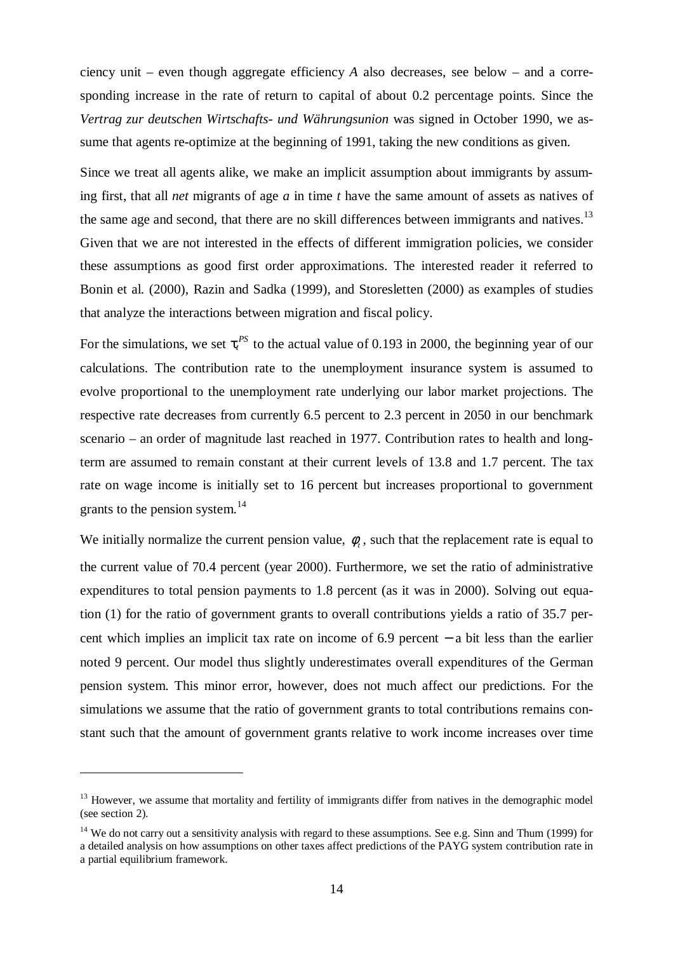ciency unit – even though aggregate efficiency *A* also decreases, see below – and a corresponding increase in the rate of return to capital of about 0.2 percentage points. Since the *Vertrag zur deutschen Wirtschafts- und Währungsunion* was signed in October 1990, we assume that agents re-optimize at the beginning of 1991, taking the new conditions as given.

Since we treat all agents alike, we make an implicit assumption about immigrants by assuming first, that all *net* migrants of age *a* in time *t* have the same amount of assets as natives of the same age and second, that there are no skill differences between immigrants and natives.<sup>13</sup> Given that we are not interested in the effects of different immigration policies, we consider these assumptions as good first order approximations. The interested reader it referred to Bonin et al. (2000), Razin and Sadka (1999), and Storesletten (2000) as examples of studies that analyze the interactions between migration and fiscal policy.

For the simulations, we set  $\tau_t^{PS}$  to the actual value of 0.193 in 2000, the beginning year of our calculations. The contribution rate to the unemployment insurance system is assumed to evolve proportional to the unemployment rate underlying our labor market projections. The respective rate decreases from currently 6.5 percent to 2.3 percent in 2050 in our benchmark scenario – an order of magnitude last reached in 1977. Contribution rates to health and longterm are assumed to remain constant at their current levels of 13.8 and 1.7 percent. The tax rate on wage income is initially set to 16 percent but increases proportional to government grants to the pension system. $^{14}$ 

We initially normalize the current pension value,  $\phi$ , such that the replacement rate is equal to the current value of 70.4 percent (year 2000). Furthermore, we set the ratio of administrative expenditures to total pension payments to 1.8 percent (as it was in 2000). Solving out equation (1) for the ratio of government grants to overall contributions yields a ratio of 35.7 percent which implies an implicit tax rate on income of 6.9 percent − a bit less than the earlier noted 9 percent. Our model thus slightly underestimates overall expenditures of the German pension system. This minor error, however, does not much affect our predictions. For the simulations we assume that the ratio of government grants to total contributions remains constant such that the amount of government grants relative to work income increases over time

 $\overline{a}$ 

<sup>&</sup>lt;sup>13</sup> However, we assume that mortality and fertility of immigrants differ from natives in the demographic model (see section 2).

<sup>&</sup>lt;sup>14</sup> We do not carry out a sensitivity analysis with regard to these assumptions. See e.g. Sinn and Thum (1999) for a detailed analysis on how assumptions on other taxes affect predictions of the PAYG system contribution rate in a partial equilibrium framework.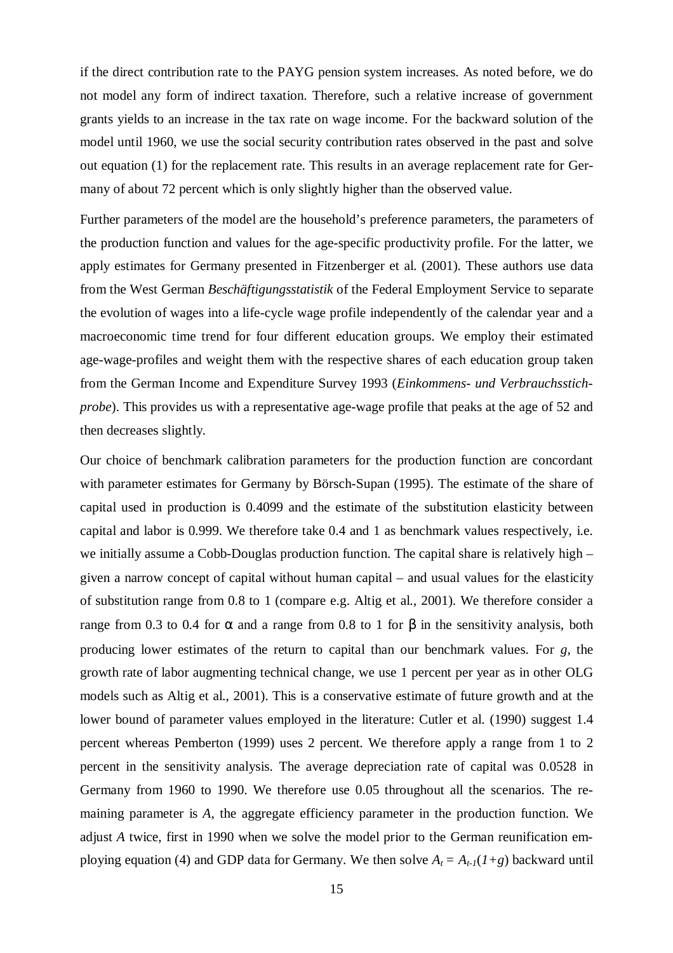if the direct contribution rate to the PAYG pension system increases. As noted before, we do not model any form of indirect taxation. Therefore, such a relative increase of government grants yields to an increase in the tax rate on wage income. For the backward solution of the model until 1960, we use the social security contribution rates observed in the past and solve out equation (1) for the replacement rate. This results in an average replacement rate for Germany of about 72 percent which is only slightly higher than the observed value.

Further parameters of the model are the household's preference parameters, the parameters of the production function and values for the age-specific productivity profile. For the latter, we apply estimates for Germany presented in Fitzenberger et al. (2001). These authors use data from the West German *Beschäftigungsstatistik* of the Federal Employment Service to separate the evolution of wages into a life-cycle wage profile independently of the calendar year and a macroeconomic time trend for four different education groups. We employ their estimated age-wage-profiles and weight them with the respective shares of each education group taken from the German Income and Expenditure Survey 1993 (*Einkommens- und Verbrauchsstichprobe*). This provides us with a representative age-wage profile that peaks at the age of 52 and then decreases slightly.

Our choice of benchmark calibration parameters for the production function are concordant with parameter estimates for Germany by Börsch-Supan (1995). The estimate of the share of capital used in production is 0.4099 and the estimate of the substitution elasticity between capital and labor is 0.999. We therefore take 0.4 and 1 as benchmark values respectively, i.e. we initially assume a Cobb-Douglas production function. The capital share is relatively high – given a narrow concept of capital without human capital – and usual values for the elasticity of substitution range from 0.8 to 1 (compare e.g. Altig et al., 2001). We therefore consider a range from 0.3 to 0.4 for α and a range from 0.8 to 1 for β in the sensitivity analysis, both producing lower estimates of the return to capital than our benchmark values. For *g*, the growth rate of labor augmenting technical change, we use 1 percent per year as in other OLG models such as Altig et al., 2001). This is a conservative estimate of future growth and at the lower bound of parameter values employed in the literature: Cutler et al. (1990) suggest 1.4 percent whereas Pemberton (1999) uses 2 percent. We therefore apply a range from 1 to 2 percent in the sensitivity analysis. The average depreciation rate of capital was 0.0528 in Germany from 1960 to 1990. We therefore use 0.05 throughout all the scenarios. The remaining parameter is *A*, the aggregate efficiency parameter in the production function. We adjust *A* twice, first in 1990 when we solve the model prior to the German reunification employing equation (4) and GDP data for Germany. We then solve  $A_t = A_{t-1}(I+g)$  backward until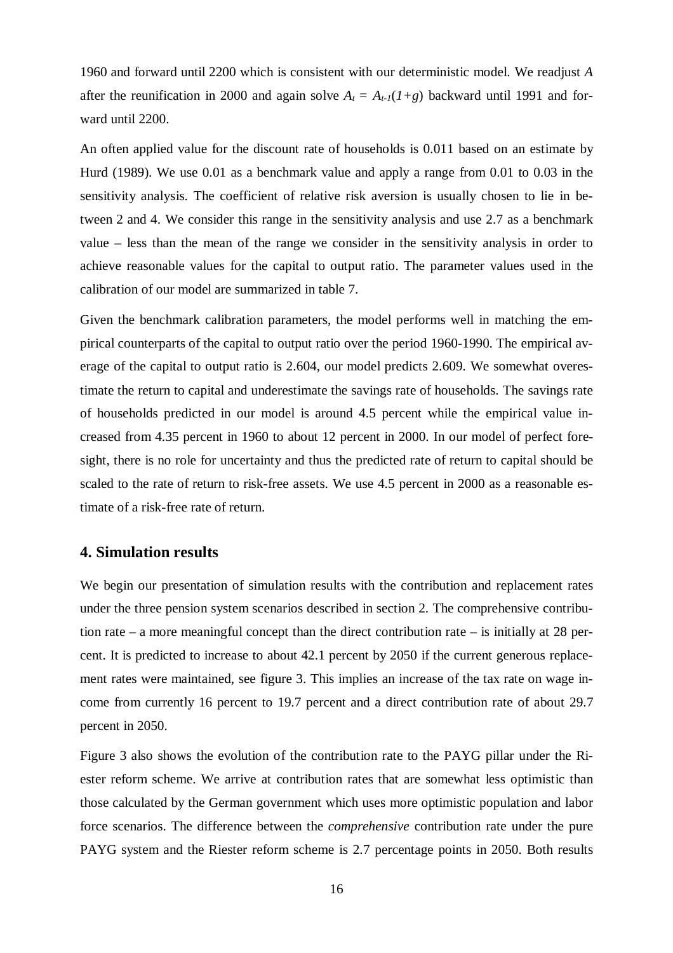1960 and forward until 2200 which is consistent with our deterministic model. We readjust *A* after the reunification in 2000 and again solve  $A_t = A_{t-1}(I+g)$  backward until 1991 and forward until 2200.

An often applied value for the discount rate of households is 0.011 based on an estimate by Hurd (1989). We use 0.01 as a benchmark value and apply a range from 0.01 to 0.03 in the sensitivity analysis. The coefficient of relative risk aversion is usually chosen to lie in between 2 and 4. We consider this range in the sensitivity analysis and use 2.7 as a benchmark value – less than the mean of the range we consider in the sensitivity analysis in order to achieve reasonable values for the capital to output ratio. The parameter values used in the calibration of our model are summarized in table 7.

Given the benchmark calibration parameters, the model performs well in matching the empirical counterparts of the capital to output ratio over the period 1960-1990. The empirical average of the capital to output ratio is 2.604, our model predicts 2.609. We somewhat overestimate the return to capital and underestimate the savings rate of households. The savings rate of households predicted in our model is around 4.5 percent while the empirical value increased from 4.35 percent in 1960 to about 12 percent in 2000. In our model of perfect foresight, there is no role for uncertainty and thus the predicted rate of return to capital should be scaled to the rate of return to risk-free assets. We use 4.5 percent in 2000 as a reasonable estimate of a risk-free rate of return.

# **4. Simulation results**

We begin our presentation of simulation results with the contribution and replacement rates under the three pension system scenarios described in section 2. The comprehensive contribution rate – a more meaningful concept than the direct contribution rate – is initially at 28 percent. It is predicted to increase to about 42.1 percent by 2050 if the current generous replacement rates were maintained, see figure 3. This implies an increase of the tax rate on wage income from currently 16 percent to 19.7 percent and a direct contribution rate of about 29.7 percent in 2050.

Figure 3 also shows the evolution of the contribution rate to the PAYG pillar under the Riester reform scheme. We arrive at contribution rates that are somewhat less optimistic than those calculated by the German government which uses more optimistic population and labor force scenarios. The difference between the *comprehensive* contribution rate under the pure PAYG system and the Riester reform scheme is 2.7 percentage points in 2050. Both results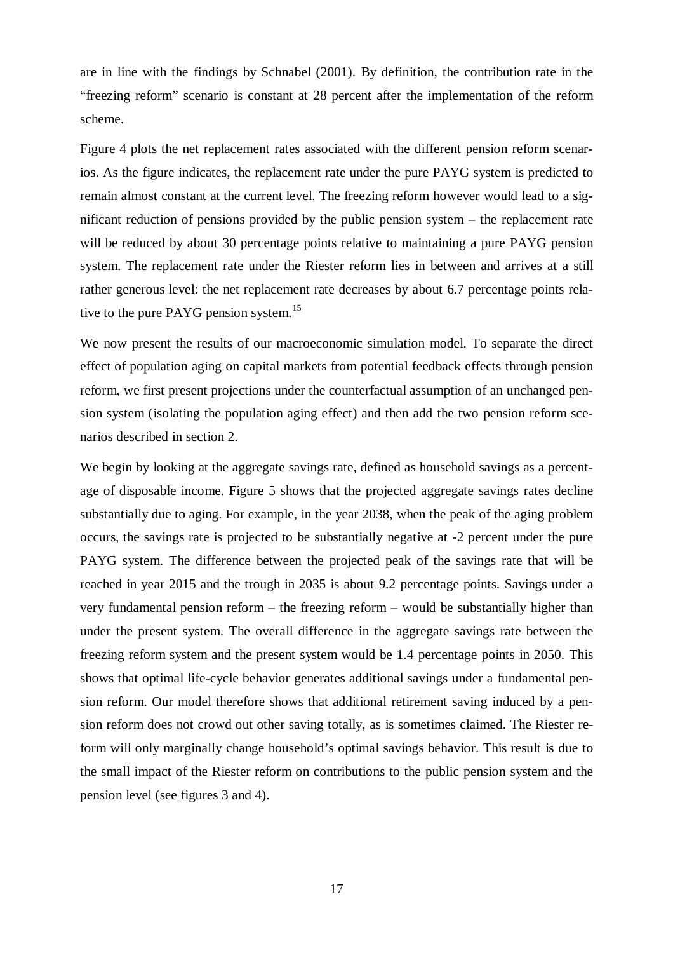are in line with the findings by Schnabel (2001). By definition, the contribution rate in the "freezing reform" scenario is constant at 28 percent after the implementation of the reform scheme.

Figure 4 plots the net replacement rates associated with the different pension reform scenarios. As the figure indicates, the replacement rate under the pure PAYG system is predicted to remain almost constant at the current level. The freezing reform however would lead to a significant reduction of pensions provided by the public pension system – the replacement rate will be reduced by about 30 percentage points relative to maintaining a pure PAYG pension system. The replacement rate under the Riester reform lies in between and arrives at a still rather generous level: the net replacement rate decreases by about 6.7 percentage points relative to the pure PAYG pension system.<sup>15</sup>

We now present the results of our macroeconomic simulation model. To separate the direct effect of population aging on capital markets from potential feedback effects through pension reform, we first present projections under the counterfactual assumption of an unchanged pension system (isolating the population aging effect) and then add the two pension reform scenarios described in section 2.

We begin by looking at the aggregate savings rate, defined as household savings as a percentage of disposable income. Figure 5 shows that the projected aggregate savings rates decline substantially due to aging. For example, in the year 2038, when the peak of the aging problem occurs, the savings rate is projected to be substantially negative at -2 percent under the pure PAYG system. The difference between the projected peak of the savings rate that will be reached in year 2015 and the trough in 2035 is about 9.2 percentage points. Savings under a very fundamental pension reform – the freezing reform – would be substantially higher than under the present system. The overall difference in the aggregate savings rate between the freezing reform system and the present system would be 1.4 percentage points in 2050. This shows that optimal life-cycle behavior generates additional savings under a fundamental pension reform. Our model therefore shows that additional retirement saving induced by a pension reform does not crowd out other saving totally, as is sometimes claimed. The Riester reform will only marginally change household's optimal savings behavior. This result is due to the small impact of the Riester reform on contributions to the public pension system and the pension level (see figures 3 and 4).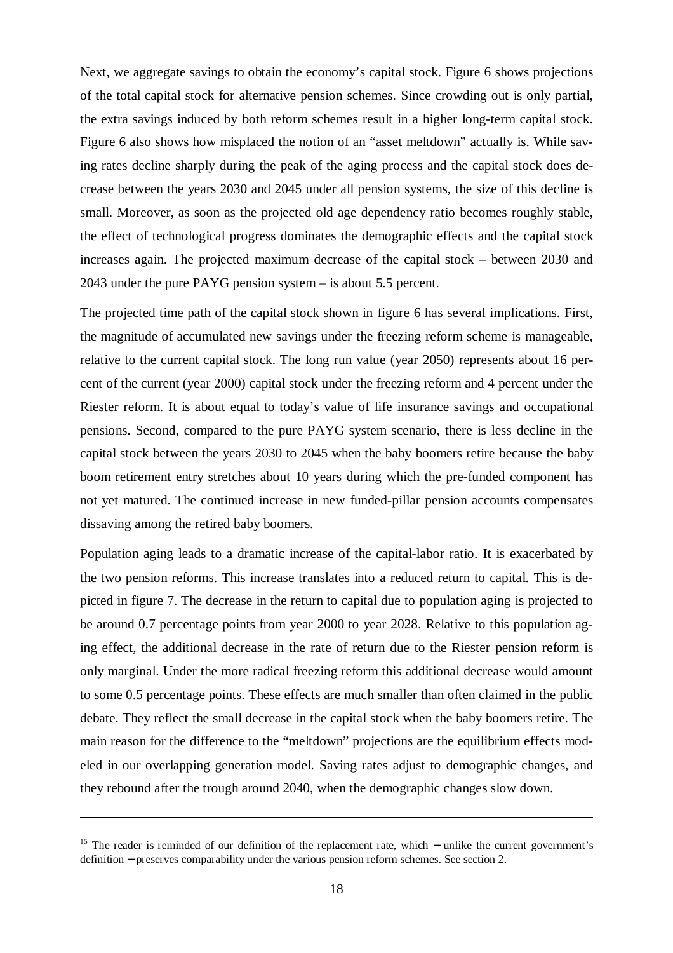Next, we aggregate savings to obtain the economy's capital stock. Figure 6 shows projections of the total capital stock for alternative pension schemes. Since crowding out is only partial, the extra savings induced by both reform schemes result in a higher long-term capital stock. Figure 6 also shows how misplaced the notion of an "asset meltdown" actually is. While saving rates decline sharply during the peak of the aging process and the capital stock does decrease between the years 2030 and 2045 under all pension systems, the size of this decline is small. Moreover, as soon as the projected old age dependency ratio becomes roughly stable, the effect of technological progress dominates the demographic effects and the capital stock increases again. The projected maximum decrease of the capital stock – between 2030 and 2043 under the pure PAYG pension system – is about 5.5 percent.

The projected time path of the capital stock shown in figure 6 has several implications. First, the magnitude of accumulated new savings under the freezing reform scheme is manageable, relative to the current capital stock. The long run value (year 2050) represents about 16 percent of the current (year 2000) capital stock under the freezing reform and 4 percent under the Riester reform. It is about equal to today's value of life insurance savings and occupational pensions. Second, compared to the pure PAYG system scenario, there is less decline in the capital stock between the years 2030 to 2045 when the baby boomers retire because the baby boom retirement entry stretches about 10 years during which the pre-funded component has not yet matured. The continued increase in new funded-pillar pension accounts compensates dissaving among the retired baby boomers.

Population aging leads to a dramatic increase of the capital-labor ratio. It is exacerbated by the two pension reforms. This increase translates into a reduced return to capital. This is depicted in figure 7. The decrease in the return to capital due to population aging is projected to be around 0.7 percentage points from year 2000 to year 2028. Relative to this population aging effect, the additional decrease in the rate of return due to the Riester pension reform is only marginal. Under the more radical freezing reform this additional decrease would amount to some 0.5 percentage points. These effects are much smaller than often claimed in the public debate. They reflect the small decrease in the capital stock when the baby boomers retire. The main reason for the difference to the "meltdown" projections are the equilibrium effects modeled in our overlapping generation model. Saving rates adjust to demographic changes, and they rebound after the trough around 2040, when the demographic changes slow down.

<u>.</u>

<sup>&</sup>lt;sup>15</sup> The reader is reminded of our definition of the replacement rate, which – unlike the current government's definition − preserves comparability under the various pension reform schemes. See section 2.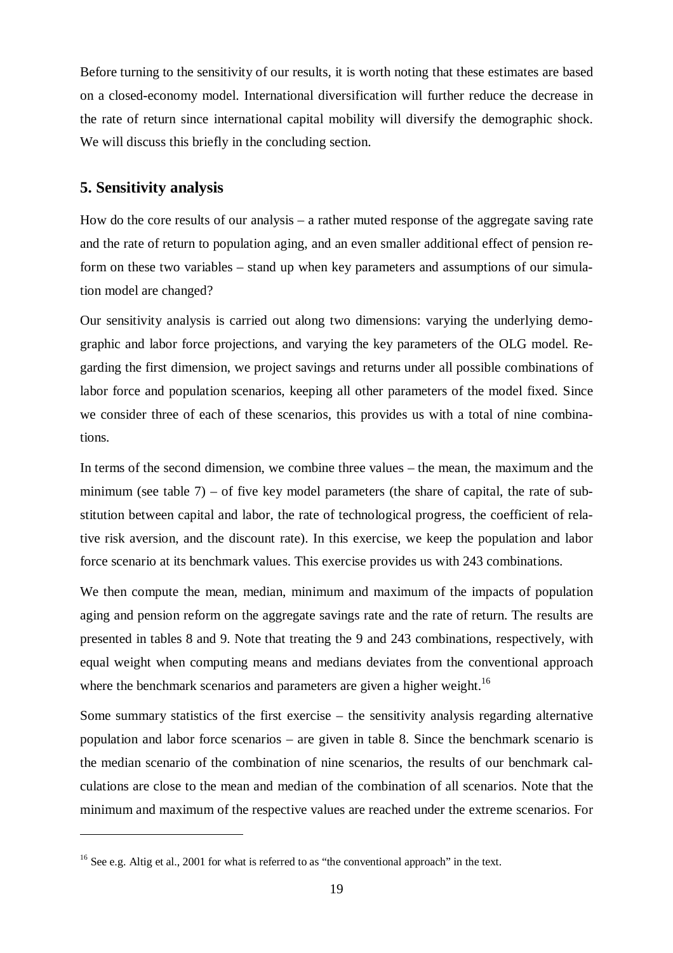Before turning to the sensitivity of our results, it is worth noting that these estimates are based on a closed-economy model. International diversification will further reduce the decrease in the rate of return since international capital mobility will diversify the demographic shock. We will discuss this briefly in the concluding section.

# **5. Sensitivity analysis**

 $\overline{a}$ 

How do the core results of our analysis – a rather muted response of the aggregate saving rate and the rate of return to population aging, and an even smaller additional effect of pension reform on these two variables – stand up when key parameters and assumptions of our simulation model are changed?

Our sensitivity analysis is carried out along two dimensions: varying the underlying demographic and labor force projections, and varying the key parameters of the OLG model. Regarding the first dimension, we project savings and returns under all possible combinations of labor force and population scenarios, keeping all other parameters of the model fixed. Since we consider three of each of these scenarios, this provides us with a total of nine combinations.

In terms of the second dimension, we combine three values – the mean, the maximum and the minimum (see table 7) – of five key model parameters (the share of capital, the rate of substitution between capital and labor, the rate of technological progress, the coefficient of relative risk aversion, and the discount rate). In this exercise, we keep the population and labor force scenario at its benchmark values. This exercise provides us with 243 combinations.

We then compute the mean, median, minimum and maximum of the impacts of population aging and pension reform on the aggregate savings rate and the rate of return. The results are presented in tables 8 and 9. Note that treating the 9 and 243 combinations, respectively, with equal weight when computing means and medians deviates from the conventional approach where the benchmark scenarios and parameters are given a higher weight.<sup>16</sup>

Some summary statistics of the first exercise – the sensitivity analysis regarding alternative population and labor force scenarios – are given in table 8. Since the benchmark scenario is the median scenario of the combination of nine scenarios, the results of our benchmark calculations are close to the mean and median of the combination of all scenarios. Note that the minimum and maximum of the respective values are reached under the extreme scenarios. For

<sup>&</sup>lt;sup>16</sup> See e.g. Altig et al., 2001 for what is referred to as "the conventional approach" in the text.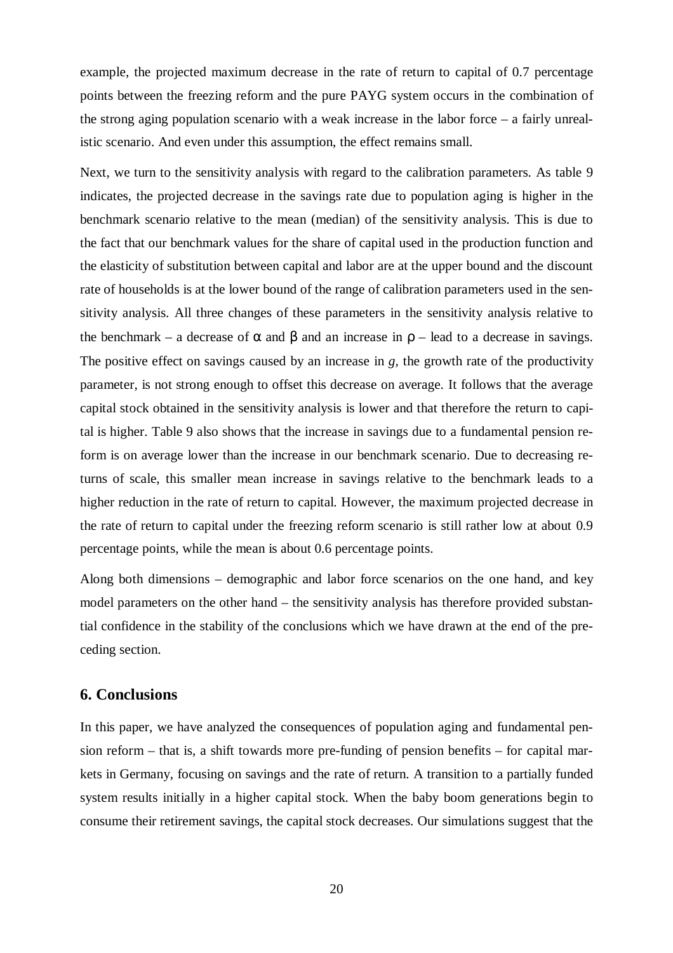example, the projected maximum decrease in the rate of return to capital of 0.7 percentage points between the freezing reform and the pure PAYG system occurs in the combination of the strong aging population scenario with a weak increase in the labor force – a fairly unrealistic scenario. And even under this assumption, the effect remains small.

Next, we turn to the sensitivity analysis with regard to the calibration parameters. As table 9 indicates, the projected decrease in the savings rate due to population aging is higher in the benchmark scenario relative to the mean (median) of the sensitivity analysis. This is due to the fact that our benchmark values for the share of capital used in the production function and the elasticity of substitution between capital and labor are at the upper bound and the discount rate of households is at the lower bound of the range of calibration parameters used in the sensitivity analysis. All three changes of these parameters in the sensitivity analysis relative to the benchmark – a decrease of  $\alpha$  and  $\beta$  and an increase in  $\rho$  – lead to a decrease in savings. The positive effect on savings caused by an increase in *g,* the growth rate of the productivity parameter, is not strong enough to offset this decrease on average. It follows that the average capital stock obtained in the sensitivity analysis is lower and that therefore the return to capital is higher. Table 9 also shows that the increase in savings due to a fundamental pension reform is on average lower than the increase in our benchmark scenario. Due to decreasing returns of scale, this smaller mean increase in savings relative to the benchmark leads to a higher reduction in the rate of return to capital. However, the maximum projected decrease in the rate of return to capital under the freezing reform scenario is still rather low at about 0.9 percentage points, while the mean is about 0.6 percentage points.

Along both dimensions – demographic and labor force scenarios on the one hand, and key model parameters on the other hand – the sensitivity analysis has therefore provided substantial confidence in the stability of the conclusions which we have drawn at the end of the preceding section.

# **6. Conclusions**

In this paper, we have analyzed the consequences of population aging and fundamental pension reform – that is, a shift towards more pre-funding of pension benefits – for capital markets in Germany, focusing on savings and the rate of return. A transition to a partially funded system results initially in a higher capital stock. When the baby boom generations begin to consume their retirement savings, the capital stock decreases. Our simulations suggest that the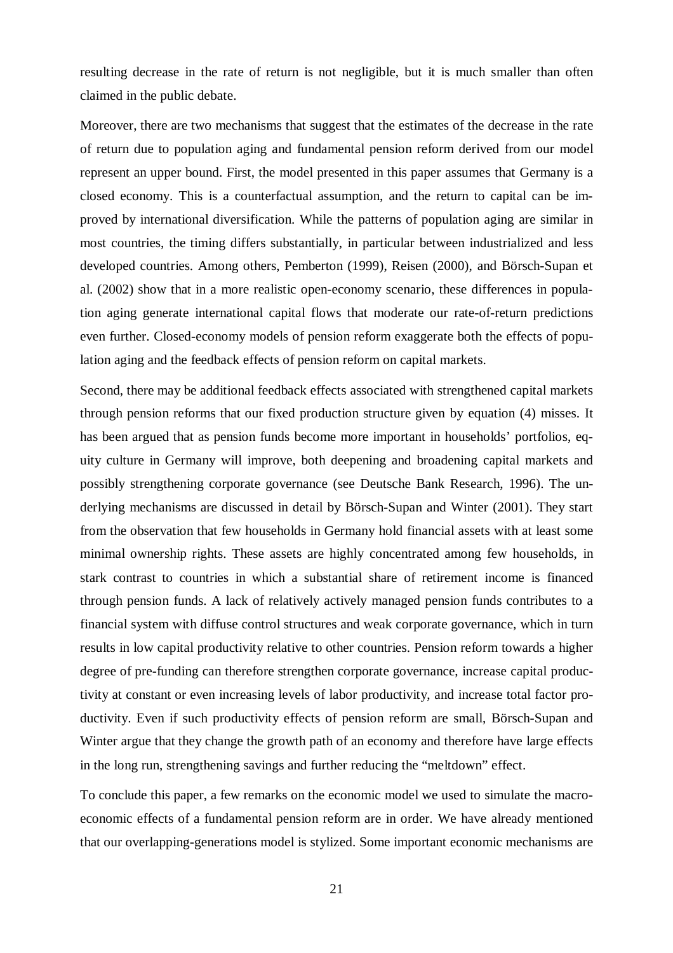resulting decrease in the rate of return is not negligible, but it is much smaller than often claimed in the public debate.

Moreover, there are two mechanisms that suggest that the estimates of the decrease in the rate of return due to population aging and fundamental pension reform derived from our model represent an upper bound. First, the model presented in this paper assumes that Germany is a closed economy. This is a counterfactual assumption, and the return to capital can be improved by international diversification. While the patterns of population aging are similar in most countries, the timing differs substantially, in particular between industrialized and less developed countries. Among others, Pemberton (1999), Reisen (2000), and Börsch-Supan et al. (2002) show that in a more realistic open-economy scenario, these differences in population aging generate international capital flows that moderate our rate-of-return predictions even further. Closed-economy models of pension reform exaggerate both the effects of population aging and the feedback effects of pension reform on capital markets.

Second, there may be additional feedback effects associated with strengthened capital markets through pension reforms that our fixed production structure given by equation (4) misses. It has been argued that as pension funds become more important in households' portfolios, equity culture in Germany will improve, both deepening and broadening capital markets and possibly strengthening corporate governance (see Deutsche Bank Research, 1996). The underlying mechanisms are discussed in detail by Börsch-Supan and Winter (2001). They start from the observation that few households in Germany hold financial assets with at least some minimal ownership rights. These assets are highly concentrated among few households, in stark contrast to countries in which a substantial share of retirement income is financed through pension funds. A lack of relatively actively managed pension funds contributes to a financial system with diffuse control structures and weak corporate governance, which in turn results in low capital productivity relative to other countries. Pension reform towards a higher degree of pre-funding can therefore strengthen corporate governance, increase capital productivity at constant or even increasing levels of labor productivity, and increase total factor productivity. Even if such productivity effects of pension reform are small, Börsch-Supan and Winter argue that they change the growth path of an economy and therefore have large effects in the long run, strengthening savings and further reducing the "meltdown" effect.

To conclude this paper, a few remarks on the economic model we used to simulate the macroeconomic effects of a fundamental pension reform are in order. We have already mentioned that our overlapping-generations model is stylized. Some important economic mechanisms are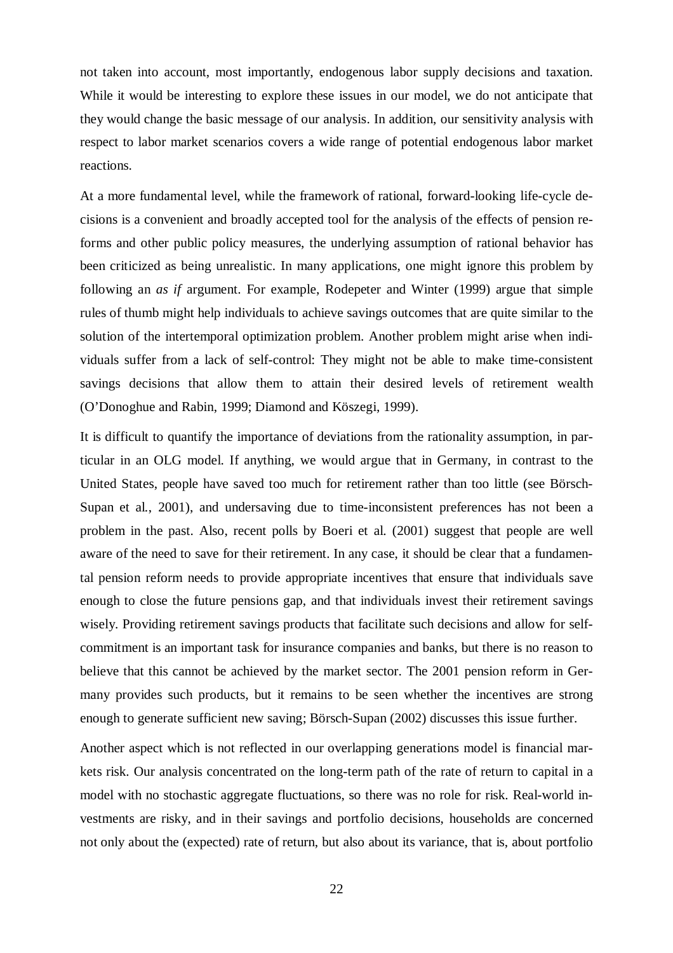not taken into account, most importantly, endogenous labor supply decisions and taxation. While it would be interesting to explore these issues in our model, we do not anticipate that they would change the basic message of our analysis. In addition, our sensitivity analysis with respect to labor market scenarios covers a wide range of potential endogenous labor market reactions.

At a more fundamental level, while the framework of rational, forward-looking life-cycle decisions is a convenient and broadly accepted tool for the analysis of the effects of pension reforms and other public policy measures, the underlying assumption of rational behavior has been criticized as being unrealistic. In many applications, one might ignore this problem by following an *as if* argument. For example, Rodepeter and Winter (1999) argue that simple rules of thumb might help individuals to achieve savings outcomes that are quite similar to the solution of the intertemporal optimization problem. Another problem might arise when individuals suffer from a lack of self-control: They might not be able to make time-consistent savings decisions that allow them to attain their desired levels of retirement wealth (O'Donoghue and Rabin, 1999; Diamond and Köszegi, 1999).

It is difficult to quantify the importance of deviations from the rationality assumption, in particular in an OLG model. If anything, we would argue that in Germany, in contrast to the United States, people have saved too much for retirement rather than too little (see Börsch-Supan et al*.*, 2001), and undersaving due to time-inconsistent preferences has not been a problem in the past. Also, recent polls by Boeri et al. (2001) suggest that people are well aware of the need to save for their retirement. In any case, it should be clear that a fundamental pension reform needs to provide appropriate incentives that ensure that individuals save enough to close the future pensions gap, and that individuals invest their retirement savings wisely. Providing retirement savings products that facilitate such decisions and allow for selfcommitment is an important task for insurance companies and banks, but there is no reason to believe that this cannot be achieved by the market sector. The 2001 pension reform in Germany provides such products, but it remains to be seen whether the incentives are strong enough to generate sufficient new saving; Börsch-Supan (2002) discusses this issue further.

Another aspect which is not reflected in our overlapping generations model is financial markets risk. Our analysis concentrated on the long-term path of the rate of return to capital in a model with no stochastic aggregate fluctuations, so there was no role for risk. Real-world investments are risky, and in their savings and portfolio decisions, households are concerned not only about the (expected) rate of return, but also about its variance, that is, about portfolio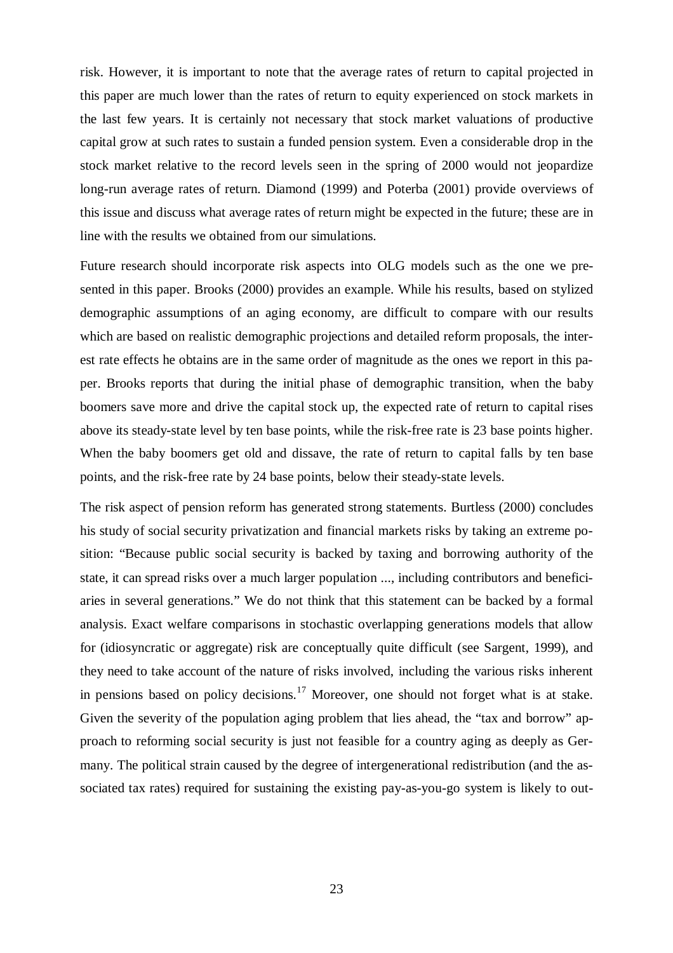risk. However, it is important to note that the average rates of return to capital projected in this paper are much lower than the rates of return to equity experienced on stock markets in the last few years. It is certainly not necessary that stock market valuations of productive capital grow at such rates to sustain a funded pension system. Even a considerable drop in the stock market relative to the record levels seen in the spring of 2000 would not jeopardize long-run average rates of return. Diamond (1999) and Poterba (2001) provide overviews of this issue and discuss what average rates of return might be expected in the future; these are in line with the results we obtained from our simulations.

Future research should incorporate risk aspects into OLG models such as the one we presented in this paper. Brooks (2000) provides an example. While his results, based on stylized demographic assumptions of an aging economy, are difficult to compare with our results which are based on realistic demographic projections and detailed reform proposals, the interest rate effects he obtains are in the same order of magnitude as the ones we report in this paper. Brooks reports that during the initial phase of demographic transition, when the baby boomers save more and drive the capital stock up, the expected rate of return to capital rises above its steady-state level by ten base points, while the risk-free rate is 23 base points higher. When the baby boomers get old and dissave, the rate of return to capital falls by ten base points, and the risk-free rate by 24 base points, below their steady-state levels.

The risk aspect of pension reform has generated strong statements. Burtless (2000) concludes his study of social security privatization and financial markets risks by taking an extreme position: "Because public social security is backed by taxing and borrowing authority of the state, it can spread risks over a much larger population ..., including contributors and beneficiaries in several generations." We do not think that this statement can be backed by a formal analysis. Exact welfare comparisons in stochastic overlapping generations models that allow for (idiosyncratic or aggregate) risk are conceptually quite difficult (see Sargent, 1999), and they need to take account of the nature of risks involved, including the various risks inherent in pensions based on policy decisions.<sup>17</sup> Moreover, one should not forget what is at stake. Given the severity of the population aging problem that lies ahead, the "tax and borrow" approach to reforming social security is just not feasible for a country aging as deeply as Germany. The political strain caused by the degree of intergenerational redistribution (and the associated tax rates) required for sustaining the existing pay-as-you-go system is likely to out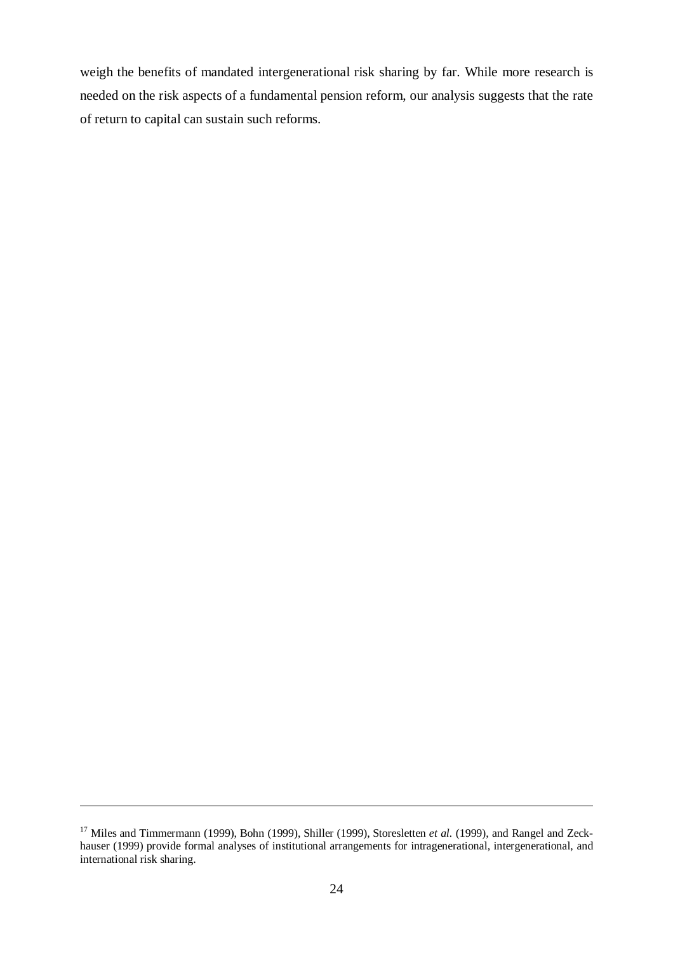weigh the benefits of mandated intergenerational risk sharing by far. While more research is needed on the risk aspects of a fundamental pension reform, our analysis suggests that the rate of return to capital can sustain such reforms.

<u>.</u>

<sup>&</sup>lt;sup>17</sup> Miles and Timmermann (1999), Bohn (1999), Shiller (1999), Storesletten *et al.* (1999), and Rangel and Zeckhauser (1999) provide formal analyses of institutional arrangements for intragenerational, intergenerational, and international risk sharing.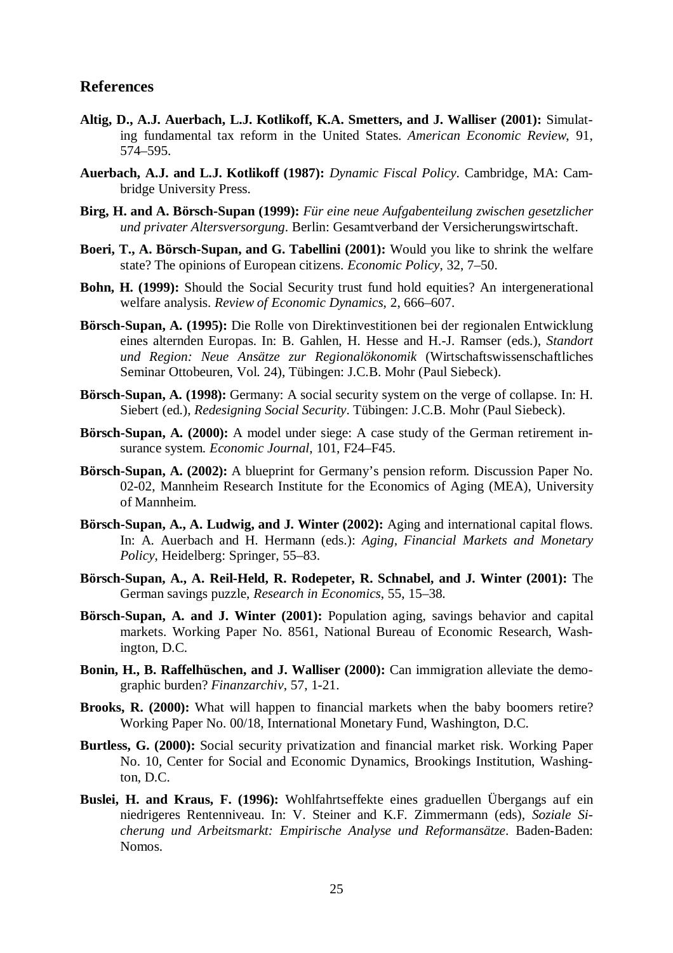# **References**

- **Altig, D., A.J. Auerbach, L.J. Kotlikoff, K.A. Smetters, and J. Walliser (2001):** Simulating fundamental tax reform in the United States. *American Economic Review*, 91, 574–595.
- **Auerbach, A.J. and L.J. Kotlikoff (1987):** *Dynamic Fiscal Policy*. Cambridge, MA: Cambridge University Press.
- **Birg, H. and A. Börsch-Supan (1999):** *Für eine neue Aufgabenteilung zwischen gesetzlicher und privater Altersversorgung*. Berlin: Gesamtverband der Versicherungswirtschaft.
- **Boeri, T., A. Börsch-Supan, and G. Tabellini (2001):** Would you like to shrink the welfare state? The opinions of European citizens. *Economic Policy*, 32, 7–50.
- **Bohn, H. (1999):** Should the Social Security trust fund hold equities? An intergenerational welfare analysis. *Review of Economic Dynamics*, 2, 666–607.
- **Börsch-Supan, A. (1995):** Die Rolle von Direktinvestitionen bei der regionalen Entwicklung eines alternden Europas. In: B. Gahlen, H. Hesse and H.-J. Ramser (eds.), *Standort und Region: Neue Ansätze zur Regionalökonomik* (Wirtschaftswissenschaftliches Seminar Ottobeuren, Vol. 24), Tübingen: J.C.B. Mohr (Paul Siebeck).
- **Börsch-Supan, A. (1998):** Germany: A social security system on the verge of collapse. In: H. Siebert (ed.), *Redesigning Social Security*. Tübingen: J.C.B. Mohr (Paul Siebeck).
- **Börsch-Supan, A. (2000):** A model under siege: A case study of the German retirement insurance system. *Economic Journal*, 101, F24–F45.
- **Börsch-Supan, A. (2002):** A blueprint for Germany's pension reform. Discussion Paper No. 02-02, Mannheim Research Institute for the Economics of Aging (MEA), University of Mannheim.
- **Börsch-Supan, A., A. Ludwig, and J. Winter (2002):** Aging and international capital flows. In: A. Auerbach and H. Hermann (eds.): *Aging, Financial Markets and Monetary Policy*, Heidelberg: Springer, 55–83.
- **Börsch-Supan, A., A. Reil-Held, R. Rodepeter, R. Schnabel, and J. Winter (2001):** The German savings puzzle, *Research in Economics*, 55, 15–38.
- **Börsch-Supan, A. and J. Winter (2001):** Population aging, savings behavior and capital markets. Working Paper No. 8561, National Bureau of Economic Research, Washington, D.C.
- **Bonin, H., B. Raffelhüschen, and J. Walliser (2000):** Can immigration alleviate the demographic burden? *Finanzarchiv*, 57, 1-21.
- **Brooks, R. (2000):** What will happen to financial markets when the baby boomers retire? Working Paper No. 00/18, International Monetary Fund, Washington, D.C.
- **Burtless, G. (2000):** Social security privatization and financial market risk. Working Paper No. 10, Center for Social and Economic Dynamics, Brookings Institution, Washington, D.C.
- **Buslei, H. and Kraus, F. (1996):** Wohlfahrtseffekte eines graduellen Übergangs auf ein niedrigeres Rentenniveau. In: V. Steiner and K.F. Zimmermann (eds), *Soziale Sicherung und Arbeitsmarkt: Empirische Analyse und Reformansätze*. Baden-Baden: Nomos.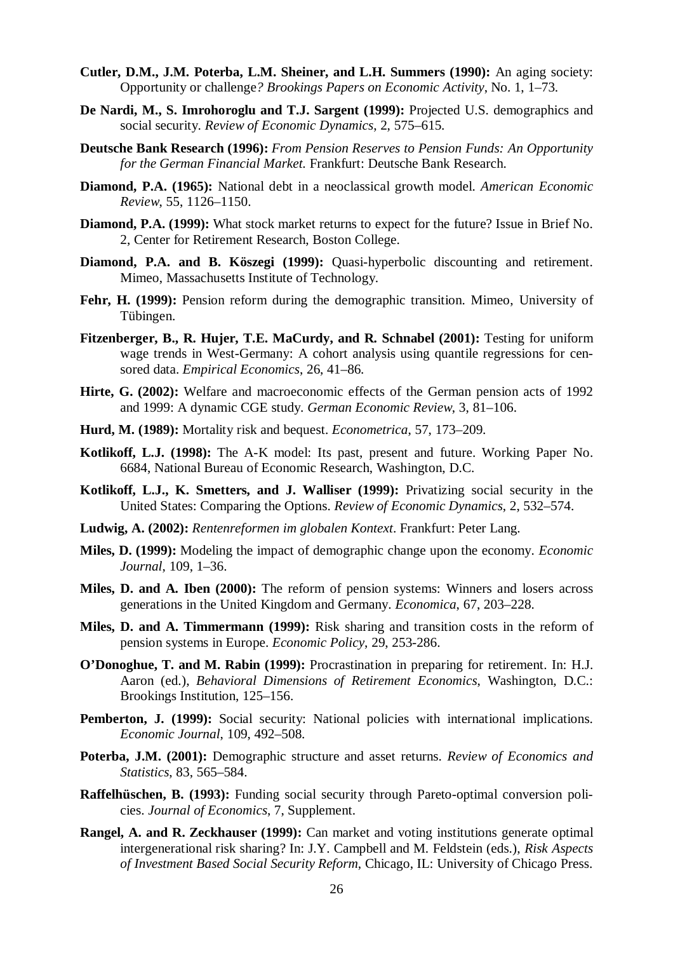- **Cutler, D.M., J.M. Poterba, L.M. Sheiner, and L.H. Summers (1990):** An aging society: Opportunity or challenge*? Brookings Papers on Economic Activity*, No. 1, 1–73.
- **De Nardi, M., S. Imrohoroglu and T.J. Sargent (1999):** Projected U.S. demographics and social security. *Review of Economic Dynamics*, 2, 575–615.
- **Deutsche Bank Research (1996):** *From Pension Reserves to Pension Funds: An Opportunity for the German Financial Market.* Frankfurt: Deutsche Bank Research.
- **Diamond, P.A. (1965):** National debt in a neoclassical growth model. *American Economic Review*, 55, 1126–1150.
- **Diamond, P.A. (1999):** What stock market returns to expect for the future? Issue in Brief No. 2, Center for Retirement Research, Boston College.
- **Diamond, P.A. and B. Köszegi (1999):** Quasi-hyperbolic discounting and retirement. Mimeo, Massachusetts Institute of Technology.
- Fehr, H. (1999): Pension reform during the demographic transition. Mimeo, University of Tübingen.
- Fitzenberger, B., R. Hujer, T.E. MaCurdy, and R. Schnabel (2001): Testing for uniform wage trends in West-Germany: A cohort analysis using quantile regressions for censored data. *Empirical Economics*, 26, 41–86.
- **Hirte, G. (2002):** Welfare and macroeconomic effects of the German pension acts of 1992 and 1999: A dynamic CGE study. *German Economic Review*, 3, 81–106.
- **Hurd, M. (1989):** Mortality risk and bequest. *Econometrica*, 57, 173–209.
- **Kotlikoff, L.J. (1998):** The A-K model: Its past, present and future. Working Paper No. 6684, National Bureau of Economic Research, Washington, D.C.
- **Kotlikoff, L.J., K. Smetters, and J. Walliser (1999):** Privatizing social security in the United States: Comparing the Options. *Review of Economic Dynamics*, 2, 532–574.
- **Ludwig, A. (2002):** *Rentenreformen im globalen Kontext*. Frankfurt: Peter Lang.
- **Miles, D. (1999):** Modeling the impact of demographic change upon the economy. *Economic Journal*, 109, 1–36.
- **Miles, D. and A. Iben (2000):** The reform of pension systems: Winners and losers across generations in the United Kingdom and Germany. *Economica*, 67, 203–228.
- **Miles, D. and A. Timmermann (1999):** Risk sharing and transition costs in the reform of pension systems in Europe. *Economic Policy*, 29, 253-286.
- **O'Donoghue, T. and M. Rabin (1999):** Procrastination in preparing for retirement. In: H.J. Aaron (ed.), *Behavioral Dimensions of Retirement Economics*, Washington, D.C.: Brookings Institution, 125–156.
- Pemberton, J. (1999): Social security: National policies with international implications. *Economic Journal*, 109, 492–508.
- **Poterba, J.M. (2001):** Demographic structure and asset returns. *Review of Economics and Statistics*, 83, 565–584.
- **Raffelhüschen, B. (1993):** Funding social security through Pareto-optimal conversion policies. *Journal of Economics*, 7, Supplement.
- **Rangel, A. and R. Zeckhauser (1999):** Can market and voting institutions generate optimal intergenerational risk sharing? In: J.Y. Campbell and M. Feldstein (eds.), *Risk Aspects of Investment Based Social Security Reform*, Chicago, IL: University of Chicago Press.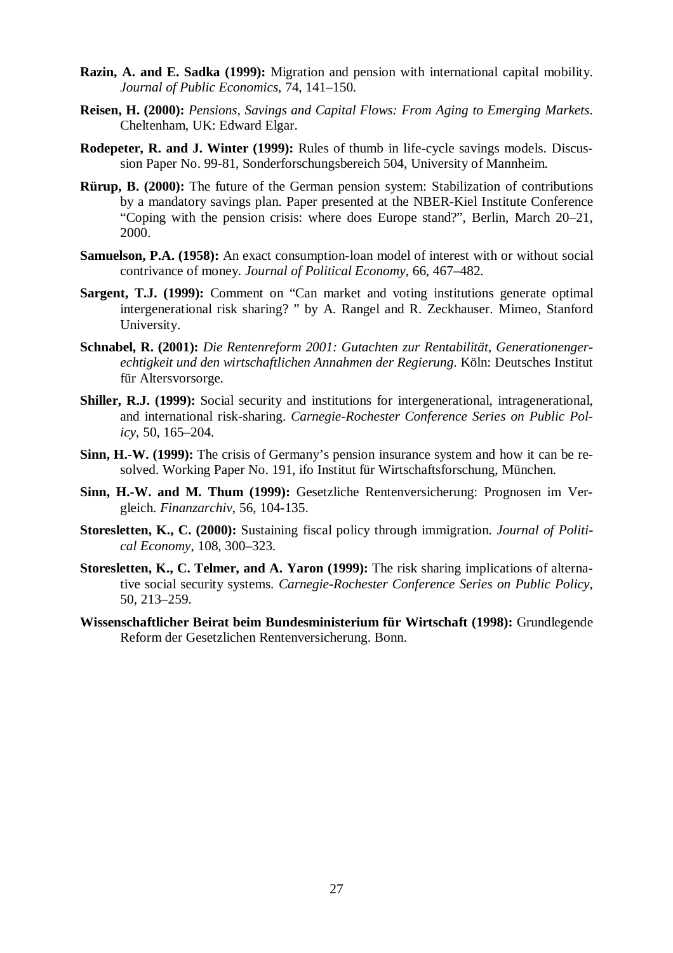- **Razin, A. and E. Sadka (1999):** Migration and pension with international capital mobility. *Journal of Public Economics*, 74, 141–150.
- **Reisen, H. (2000):** *Pensions, Savings and Capital Flows: From Aging to Emerging Markets*. Cheltenham, UK: Edward Elgar.
- **Rodepeter, R. and J. Winter (1999):** Rules of thumb in life-cycle savings models. Discussion Paper No. 99-81, Sonderforschungsbereich 504, University of Mannheim.
- **Rürup, B. (2000):** The future of the German pension system: Stabilization of contributions by a mandatory savings plan. Paper presented at the NBER-Kiel Institute Conference "Coping with the pension crisis: where does Europe stand?", Berlin, March 20–21, 2000.
- **Samuelson, P.A. (1958):** An exact consumption-loan model of interest with or without social contrivance of money. *Journal of Political Economy*, 66, 467–482.
- **Sargent, T.J. (1999):** Comment on "Can market and voting institutions generate optimal intergenerational risk sharing? " by A. Rangel and R. Zeckhauser. Mimeo, Stanford University.
- **Schnabel, R. (2001):** *Die Rentenreform 2001: Gutachten zur Rentabilität, Generationengerechtigkeit und den wirtschaftlichen Annahmen der Regierung*. Köln: Deutsches Institut für Altersvorsorge.
- **Shiller, R.J. (1999):** Social security and institutions for intergenerational, intragenerational, and international risk-sharing. *Carnegie-Rochester Conference Series on Public Policy*, 50, 165–204.
- **Sinn, H.-W. (1999):** The crisis of Germany's pension insurance system and how it can be resolved. Working Paper No. 191, ifo Institut für Wirtschaftsforschung, München.
- **Sinn, H.-W. and M. Thum (1999):** Gesetzliche Rentenversicherung: Prognosen im Vergleich. *Finanzarchiv*, 56, 104-135.
- **Storesletten, K., C. (2000):** Sustaining fiscal policy through immigration. *Journal of Political Economy*, 108, 300–323.
- **Storesletten, K., C. Telmer, and A. Yaron (1999):** The risk sharing implications of alternative social security systems. *Carnegie-Rochester Conference Series on Public Policy*, 50, 213–259.
- **Wissenschaftlicher Beirat beim Bundesministerium für Wirtschaft (1998):** Grundlegende Reform der Gesetzlichen Rentenversicherung. Bonn.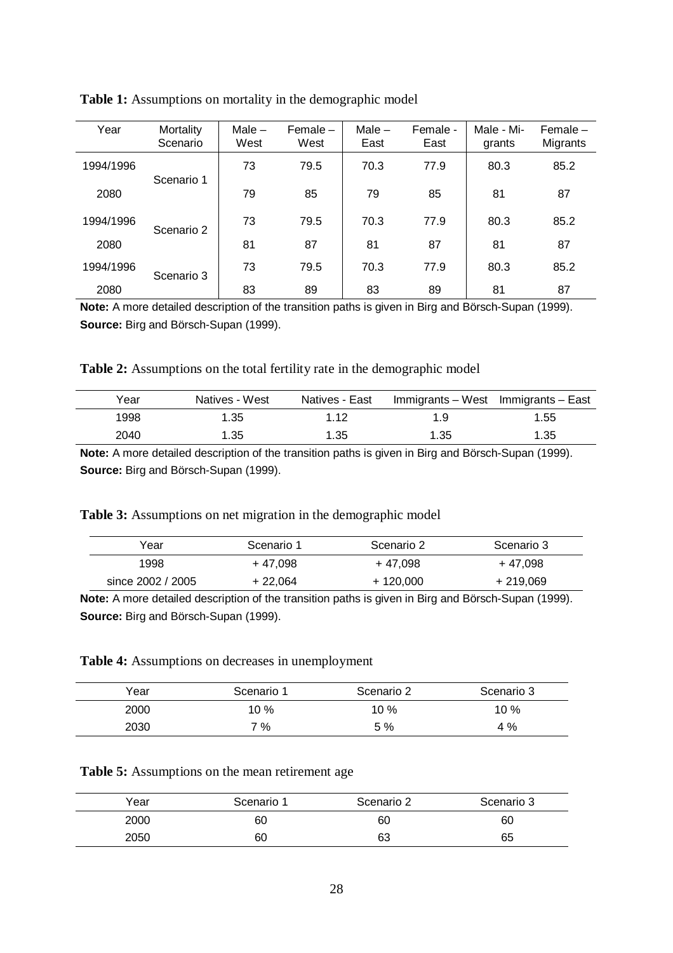| Year      | Mortality<br>Scenario | Male $-$<br>West | Female $-$<br>West | Male $-$<br>East | Female -<br>East | Male - Mi-<br>grants | $Female -$<br>Migrants |
|-----------|-----------------------|------------------|--------------------|------------------|------------------|----------------------|------------------------|
| 1994/1996 | Scenario 1            | 73               | 79.5               | 70.3             | 77.9             | 80.3                 | 85.2                   |
| 2080      |                       | 79               | 85                 | 79               | 85               | 81                   | 87                     |
| 1994/1996 | Scenario 2            | 73               | 79.5               | 70.3             | 77.9             | 80.3                 | 85.2                   |
| 2080      |                       | 81               | 87                 | 81               | 87               | 81                   | 87                     |
| 1994/1996 | Scenario 3            | 73               | 79.5               | 70.3             | 77.9             | 80.3                 | 85.2                   |
| 2080      |                       | 83               | 89                 | 83               | 89               | 81                   | 87                     |

**Table 1:** Assumptions on mortality in the demographic model

**Note:** A more detailed description of the transition paths is given in Birg and Börsch-Supan (1999). **Source:** Birg and Börsch-Supan (1999).

### **Table 2:** Assumptions on the total fertility rate in the demographic model

| Year | Natives - West | Natives - East | $Immigrants - West$ Immigrants - East |      |
|------|----------------|----------------|---------------------------------------|------|
| 1998 | 1.35           | 1.12           | 1.9                                   | 1.55 |
| 2040 | 1.35           | 1.35           | 1.35                                  | 1.35 |

**Note:** A more detailed description of the transition paths is given in Birg and Börsch-Supan (1999). **Source:** Birg and Börsch-Supan (1999).

#### **Table 3:** Assumptions on net migration in the demographic model

| Year              | Scenario 1 | Scenario 2 | Scenario 3 |  |
|-------------------|------------|------------|------------|--|
| 1998              | + 47.098   | + 47.098   | + 47.098   |  |
| since 2002 / 2005 | + 22.064   | + 120,000  | + 219,069  |  |

**Note:** A more detailed description of the transition paths is given in Birg and Börsch-Supan (1999). **Source:** Birg and Börsch-Supan (1999).

#### **Table 4:** Assumptions on decreases in unemployment

| Year | Scenario 1 | Scenario 2 | Scenario 3 |
|------|------------|------------|------------|
| 2000 | 10 %       | $10 \%$    | 10 $%$     |
| 2030 | 7 %        | 5%         | 4 %        |

#### **Table 5:** Assumptions on the mean retirement age

| Year | Scenario 1 | Scenario 2 | Scenario 3 |
|------|------------|------------|------------|
| 2000 | 60         | 60         | 60         |
| 2050 | 60         | 63         | 65         |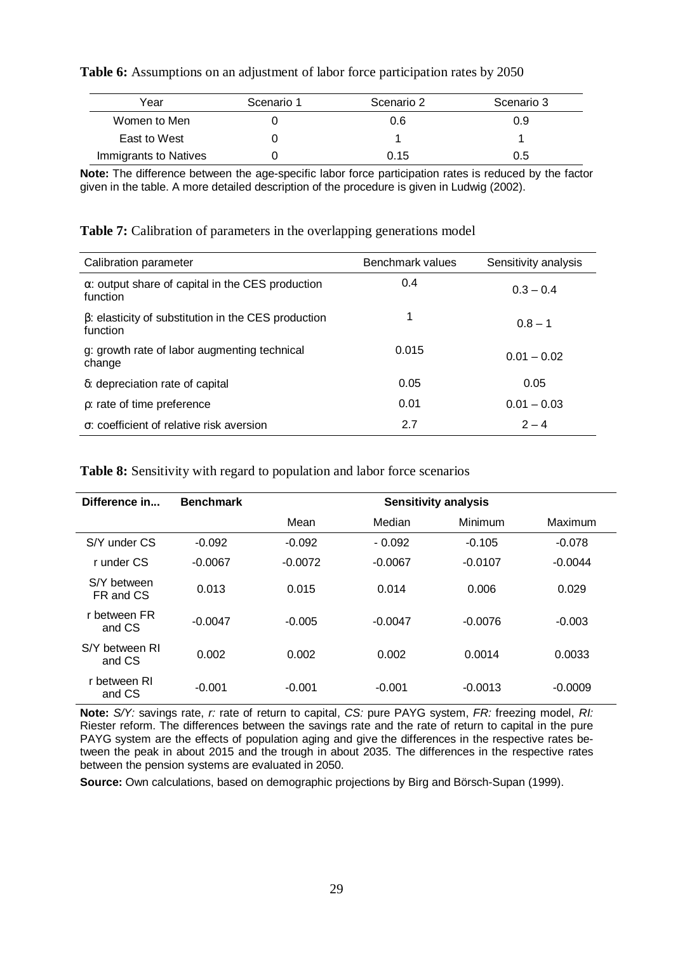**Table 6:** Assumptions on an adjustment of labor force participation rates by 2050

| Year                  | Scenario 1 | Scenario 2 | Scenario 3 |
|-----------------------|------------|------------|------------|
| Women to Men          |            | 0.6        | 0.9        |
| East to West          |            |            |            |
| Immigrants to Natives |            | 0.15       | 0.5        |

**Note:** The difference between the age-specific labor force participation rates is reduced by the factor given in the table. A more detailed description of the procedure is given in Ludwig (2002).

**Table 7:** Calibration of parameters in the overlapping generations model

| Calibration parameter                                                  | Benchmark values | Sensitivity analysis |
|------------------------------------------------------------------------|------------------|----------------------|
| $\alpha$ : output share of capital in the CES production<br>function   | 0.4              | $0.3 - 0.4$          |
| $\beta$ : elasticity of substitution in the CES production<br>function | 1                | $0.8 - 1$            |
| g: growth rate of labor augmenting technical<br>change                 | 0.015            | $0.01 - 0.02$        |
| δ: depreciation rate of capital                                        | 0.05             | 0.05                 |
| p: rate of time preference                                             | 0.01             | $0.01 - 0.03$        |
| σ: coefficient of relative risk aversion                               | 2.7              | $2 - 4$              |

#### **Table 8:** Sensitivity with regard to population and labor force scenarios

| Difference in            | <b>Benchmark</b> | <b>Sensitivity analysis</b> |           |           |           |  |
|--------------------------|------------------|-----------------------------|-----------|-----------|-----------|--|
|                          |                  | Mean                        | Median    | Minimum   | Maximum   |  |
| S/Y under CS             | $-0.092$         | $-0.092$                    | $-0.092$  | $-0.105$  | $-0.078$  |  |
| r under CS               | $-0.0067$        | $-0.0072$                   | $-0.0067$ | $-0.0107$ | $-0.0044$ |  |
| S/Y between<br>FR and CS | 0.013            | 0.015                       | 0.014     | 0.006     | 0.029     |  |
| r between FR<br>and CS   | $-0.0047$        | $-0.005$                    | $-0.0047$ | $-0.0076$ | $-0.003$  |  |
| S/Y between RI<br>and CS | 0.002            | 0.002                       | 0.002     | 0.0014    | 0.0033    |  |
| r between RI<br>and CS   | $-0.001$         | $-0.001$                    | $-0.001$  | $-0.0013$ | $-0.0009$ |  |

**Note:** S/Y: savings rate, r: rate of return to capital, CS: pure PAYG system, FR: freezing model, RI: Riester reform. The differences between the savings rate and the rate of return to capital in the pure PAYG system are the effects of population aging and give the differences in the respective rates between the peak in about 2015 and the trough in about 2035. The differences in the respective rates between the pension systems are evaluated in 2050.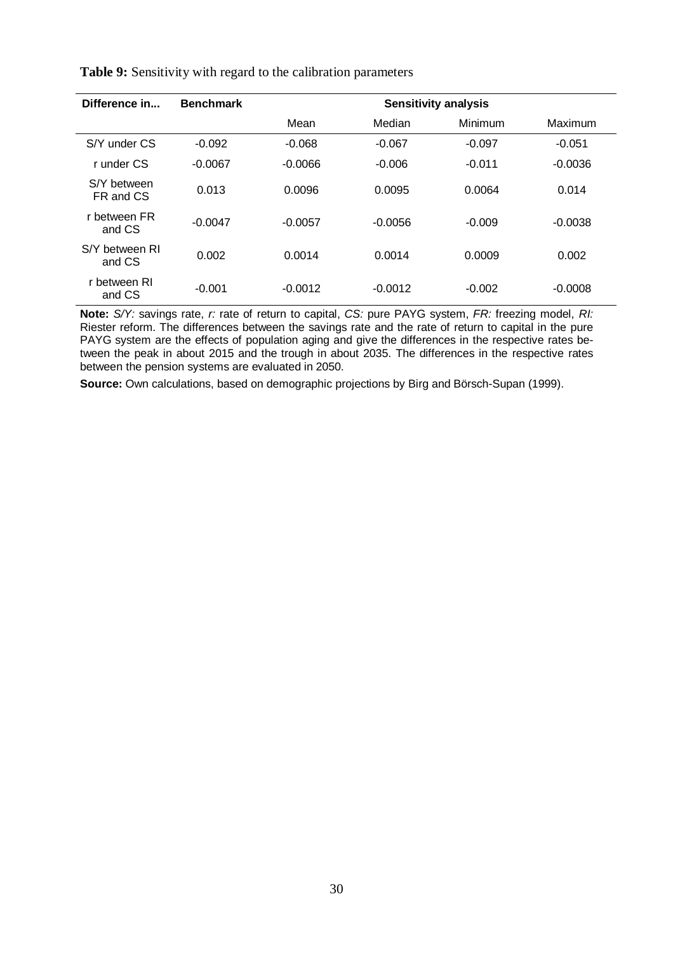**Table 9:** Sensitivity with regard to the calibration parameters

| Difference in            | <b>Benchmark</b> | <b>Sensitivity analysis</b> |           |          |           |  |
|--------------------------|------------------|-----------------------------|-----------|----------|-----------|--|
|                          |                  | Mean                        | Median    | Minimum  | Maximum   |  |
| S/Y under CS             | $-0.092$         | $-0.068$                    | $-0.067$  | $-0.097$ | $-0.051$  |  |
| r under CS               | $-0.0067$        | $-0.0066$                   | $-0.006$  | $-0.011$ | $-0.0036$ |  |
| S/Y between<br>FR and CS | 0.013            | 0.0096                      | 0.0095    | 0.0064   | 0.014     |  |
| r between FR<br>and CS   | $-0.0047$        | $-0.0057$                   | $-0.0056$ | $-0.009$ | $-0.0038$ |  |
| S/Y between RI<br>and CS | 0.002            | 0.0014                      | 0.0014    | 0.0009   | 0.002     |  |
| r between RI<br>and CS   | $-0.001$         | $-0.0012$                   | $-0.0012$ | $-0.002$ | $-0.0008$ |  |

**Note:** S/Y: savings rate, r: rate of return to capital, CS: pure PAYG system, FR: freezing model, RI: Riester reform. The differences between the savings rate and the rate of return to capital in the pure PAYG system are the effects of population aging and give the differences in the respective rates between the peak in about 2015 and the trough in about 2035. The differences in the respective rates between the pension systems are evaluated in 2050.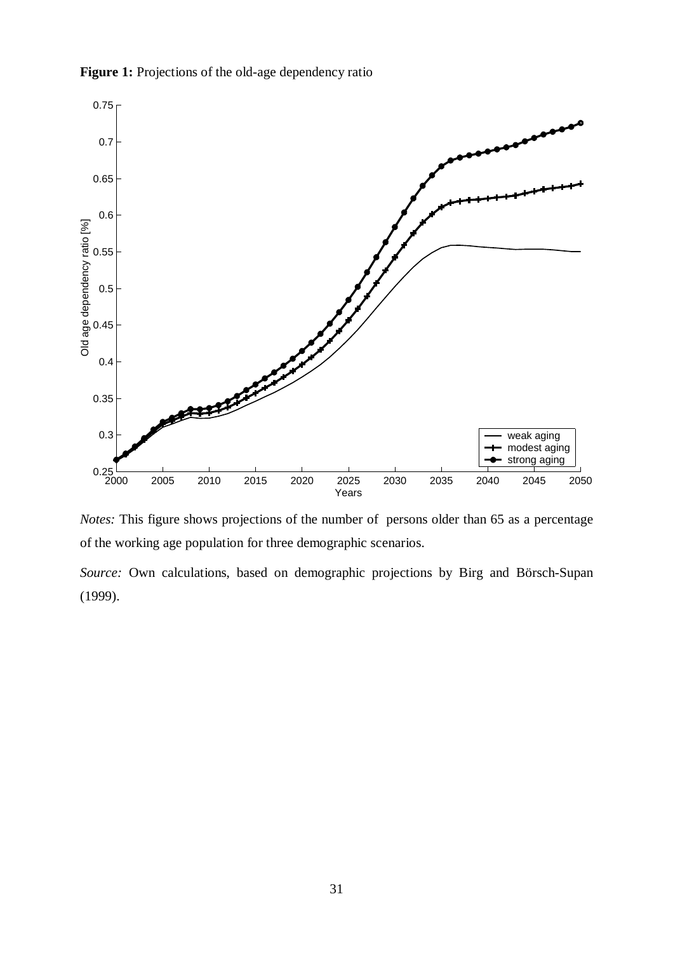

Figure 1: Projections of the old-age dependency ratio

*Notes:* This figure shows projections of the number of persons older than 65 as a percentage of the working age population for three demographic scenarios.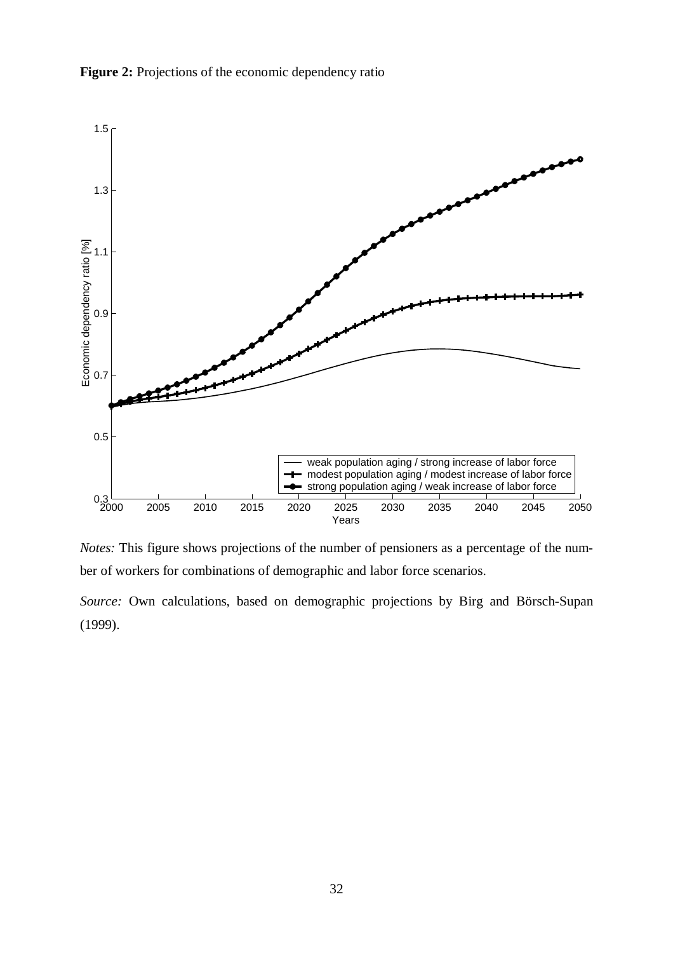



*Notes:* This figure shows projections of the number of pensioners as a percentage of the number of workers for combinations of demographic and labor force scenarios.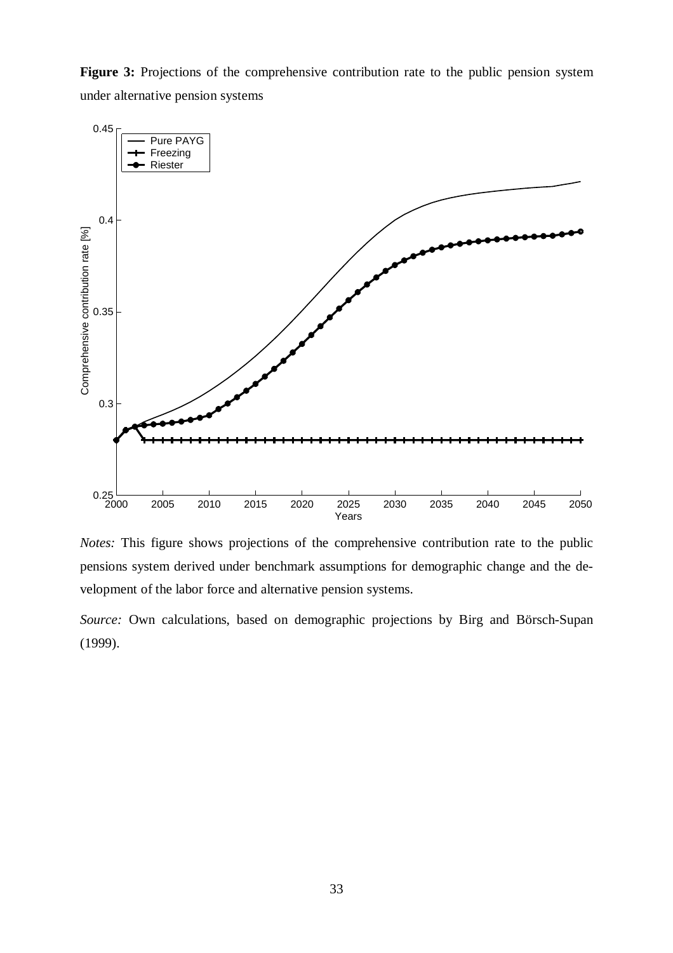**Figure 3:** Projections of the comprehensive contribution rate to the public pension system under alternative pension systems



*Notes:* This figure shows projections of the comprehensive contribution rate to the public pensions system derived under benchmark assumptions for demographic change and the development of the labor force and alternative pension systems.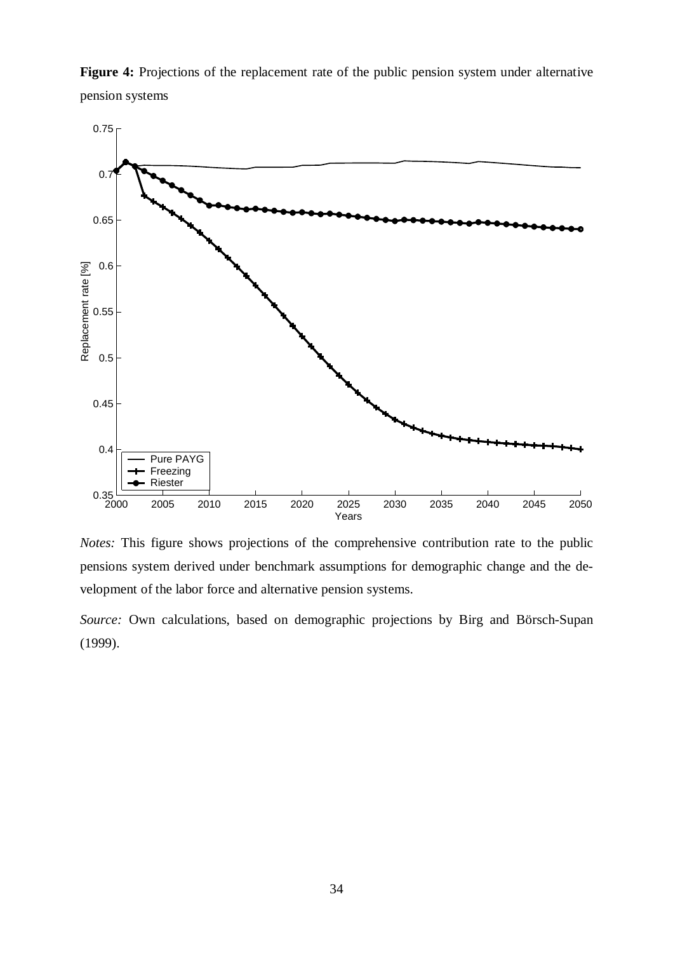Figure 4: Projections of the replacement rate of the public pension system under alternative pension systems



*Notes:* This figure shows projections of the comprehensive contribution rate to the public pensions system derived under benchmark assumptions for demographic change and the development of the labor force and alternative pension systems.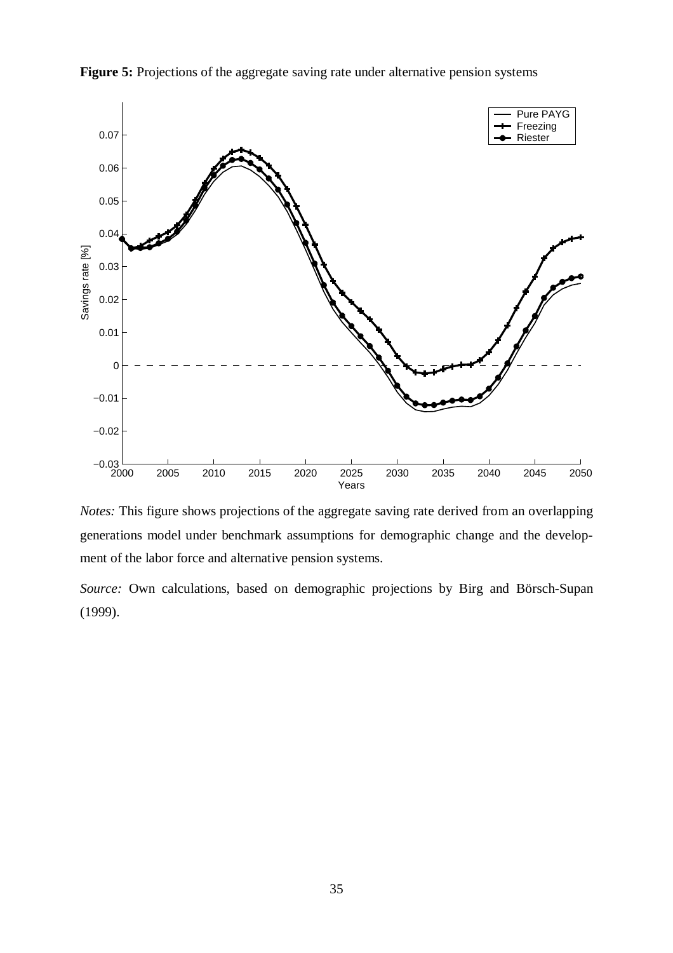

**Figure 5:** Projections of the aggregate saving rate under alternative pension systems

*Notes:* This figure shows projections of the aggregate saving rate derived from an overlapping generations model under benchmark assumptions for demographic change and the development of the labor force and alternative pension systems.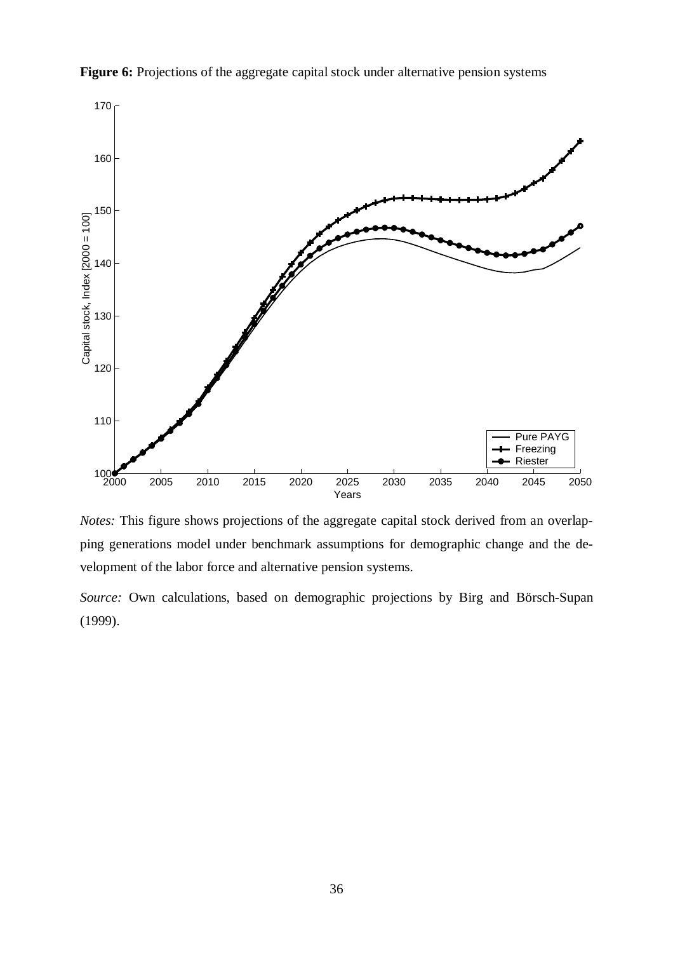

**Figure 6:** Projections of the aggregate capital stock under alternative pension systems

*Notes:* This figure shows projections of the aggregate capital stock derived from an overlapping generations model under benchmark assumptions for demographic change and the development of the labor force and alternative pension systems.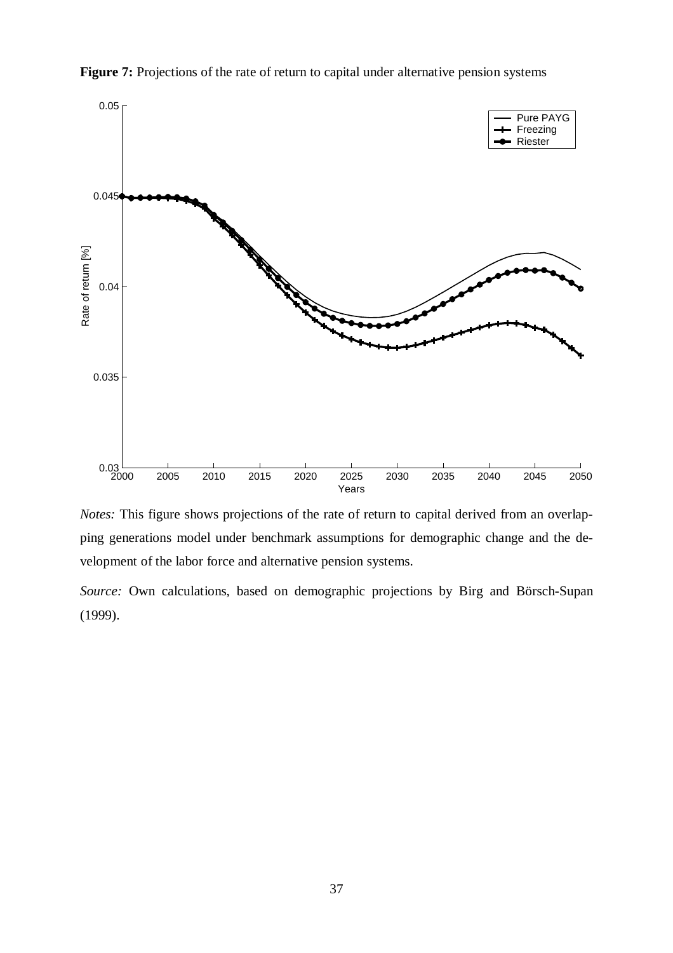

**Figure 7:** Projections of the rate of return to capital under alternative pension systems

*Notes:* This figure shows projections of the rate of return to capital derived from an overlapping generations model under benchmark assumptions for demographic change and the development of the labor force and alternative pension systems.